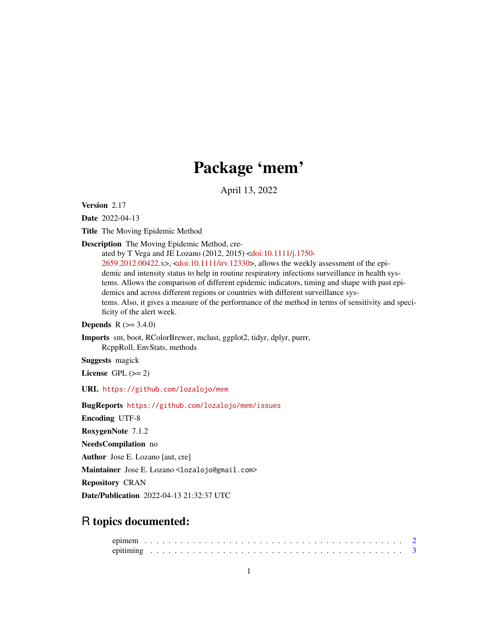# Package 'mem'

April 13, 2022

<span id="page-0-0"></span>Version 2.17

Date 2022-04-13

Title The Moving Epidemic Method

Description The Moving Epidemic Method, cre-

ated by T Vega and JE Lozano (2012, 2015) [<doi:10.1111/j.1750-](https://doi.org/10.1111/j.1750-2659.2012.00422.x) [2659.2012.00422.x>](https://doi.org/10.1111/j.1750-2659.2012.00422.x), [<doi:10.1111/irv.12330>](https://doi.org/10.1111/irv.12330), allows the weekly assessment of the epidemic and intensity status to help in routine respiratory infections surveillance in health systems. Allows the comparison of different epidemic indicators, timing and shape with past epidemics and across different regions or countries with different surveillance systems. Also, it gives a measure of the performance of the method in terms of sensitivity and specificity of the alert week.

**Depends**  $R (= 3.4.0)$ 

Imports sm, boot, RColorBrewer, mclust, ggplot2, tidyr, dplyr, purrr, RcppRoll, EnvStats, methods

Suggests magick

License GPL  $(>= 2)$ 

URL <https://github.com/lozalojo/mem>

BugReports <https://github.com/lozalojo/mem/issues>

Encoding UTF-8

RoxygenNote 7.1.2

NeedsCompilation no

Author Jose E. Lozano [aut, cre]

Maintainer Jose E. Lozano <lozalojo@gmail.com>

Repository CRAN

Date/Publication 2022-04-13 21:32:37 UTC

## R topics documented: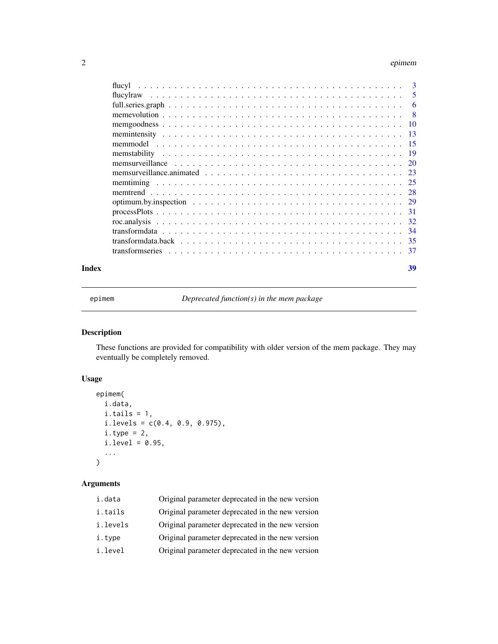### <span id="page-1-0"></span>2 epimember 2014 and 2014 and 2014 and 2014 and 2014 and 2014 and 2014 and 2014 and 2014 and 2014 and 2014 and

|       | optimum.by.inspection $\ldots \ldots \ldots \ldots \ldots \ldots \ldots \ldots \ldots \ldots \ldots \ldots \ldots$ |    |
|-------|--------------------------------------------------------------------------------------------------------------------|----|
|       |                                                                                                                    |    |
|       |                                                                                                                    |    |
|       |                                                                                                                    |    |
|       |                                                                                                                    |    |
|       |                                                                                                                    |    |
| Index |                                                                                                                    | 39 |

epimem *Deprecated function(s) in the mem package*

### Description

These functions are provided for compatibility with older version of the mem package. They may eventually be completely removed.

### Usage

```
epimem(
 i.data,
 i.tails = 1,i. levels = c(0.4, 0.9, 0.975),
 i.type = 2,i.level = 0.95,...
\mathcal{L}
```
## Arguments

| i.data   | Original parameter deprecated in the new version |
|----------|--------------------------------------------------|
| i.tails  | Original parameter deprecated in the new version |
| i.levels | Original parameter deprecated in the new version |
| i.type   | Original parameter deprecated in the new version |
| i.level  | Original parameter deprecated in the new version |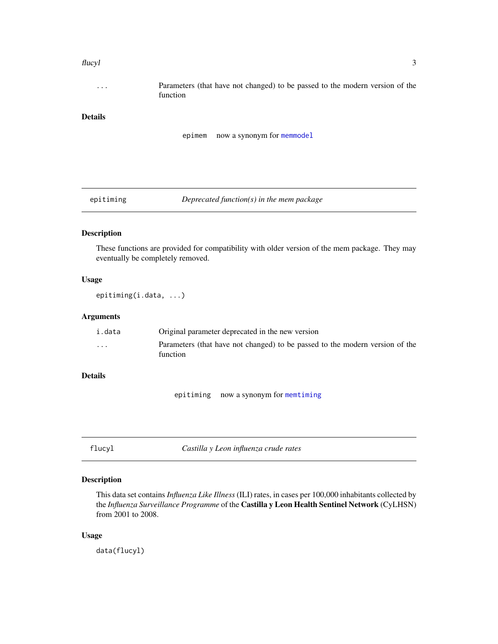### <span id="page-2-0"></span>flucyl 3

... Parameters (that have not changed) to be passed to the modern version of the function

### Details

```
epimem now a synonym for memmodel
```
epitiming *Deprecated function(s) in the mem package*

### Description

These functions are provided for compatibility with older version of the mem package. They may eventually be completely removed.

### Usage

epitiming(i.data, ...)

### Arguments

| i.data                  | Original parameter deprecated in the new version                                         |
|-------------------------|------------------------------------------------------------------------------------------|
| $\cdot$ $\cdot$ $\cdot$ | Parameters (that have not changed) to be passed to the modern version of the<br>function |

### Details

epitiming now a synonym for [memtiming](#page-24-1)

flucyl *Castilla y Leon influenza crude rates*

### Description

This data set contains *Influenza Like Illness* (ILI) rates, in cases per 100,000 inhabitants collected by the *Influenza Surveillance Programme* of the Castilla y Leon Health Sentinel Network (CyLHSN) from 2001 to 2008.

### Usage

data(flucyl)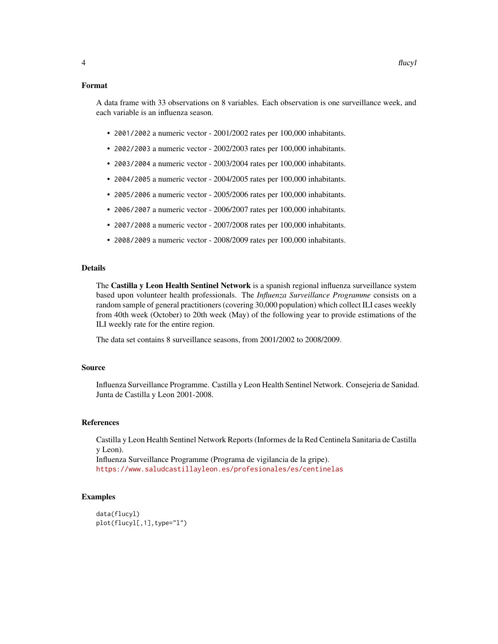### Format

A data frame with 33 observations on 8 variables. Each observation is one surveillance week, and each variable is an influenza season.

- 2001/2002 a numeric vector 2001/2002 rates per 100,000 inhabitants.
- 2002/2003 a numeric vector 2002/2003 rates per 100,000 inhabitants.
- 2003/2004 a numeric vector 2003/2004 rates per 100,000 inhabitants.
- 2004/2005 a numeric vector 2004/2005 rates per 100,000 inhabitants.
- 2005/2006 a numeric vector 2005/2006 rates per 100,000 inhabitants.
- 2006/2007 a numeric vector 2006/2007 rates per 100,000 inhabitants.
- 2007/2008 a numeric vector 2007/2008 rates per 100,000 inhabitants.
- 2008/2009 a numeric vector 2008/2009 rates per 100,000 inhabitants.

### Details

The Castilla y Leon Health Sentinel Network is a spanish regional influenza surveillance system based upon volunteer health professionals. The *Influenza Surveillance Programme* consists on a random sample of general practitioners (covering 30,000 population) which collect ILI cases weekly from 40th week (October) to 20th week (May) of the following year to provide estimations of the ILI weekly rate for the entire region.

The data set contains 8 surveillance seasons, from 2001/2002 to 2008/2009.

#### Source

Influenza Surveillance Programme. Castilla y Leon Health Sentinel Network. Consejeria de Sanidad. Junta de Castilla y Leon 2001-2008.

#### **References**

Castilla y Leon Health Sentinel Network Reports (Informes de la Red Centinela Sanitaria de Castilla y Leon). Influenza Surveillance Programme (Programa de vigilancia de la gripe).

<https://www.saludcastillayleon.es/profesionales/es/centinelas>

### Examples

```
data(flucyl)
plot(flucyl[,1],type="l")
```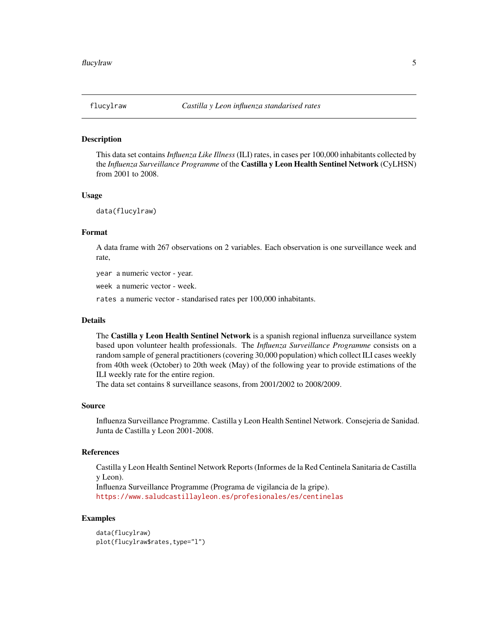<span id="page-4-0"></span>

### **Description**

This data set contains *Influenza Like Illness* (ILI) rates, in cases per 100,000 inhabitants collected by the *Influenza Surveillance Programme* of the Castilla y Leon Health Sentinel Network (CyLHSN) from 2001 to 2008.

### Usage

data(flucylraw)

### Format

A data frame with 267 observations on 2 variables. Each observation is one surveillance week and rate,

year a numeric vector - year.

week a numeric vector - week.

rates a numeric vector - standarised rates per 100,000 inhabitants.

#### Details

The Castilla y Leon Health Sentinel Network is a spanish regional influenza surveillance system based upon volunteer health professionals. The *Influenza Surveillance Programme* consists on a random sample of general practitioners (covering 30,000 population) which collect ILI cases weekly from 40th week (October) to 20th week (May) of the following year to provide estimations of the ILI weekly rate for the entire region.

The data set contains 8 surveillance seasons, from 2001/2002 to 2008/2009.

### Source

Influenza Surveillance Programme. Castilla y Leon Health Sentinel Network. Consejeria de Sanidad. Junta de Castilla y Leon 2001-2008.

### References

Castilla y Leon Health Sentinel Network Reports (Informes de la Red Centinela Sanitaria de Castilla y Leon).

Influenza Surveillance Programme (Programa de vigilancia de la gripe). <https://www.saludcastillayleon.es/profesionales/es/centinelas>

### Examples

data(flucylraw) plot(flucylraw\$rates,type="l")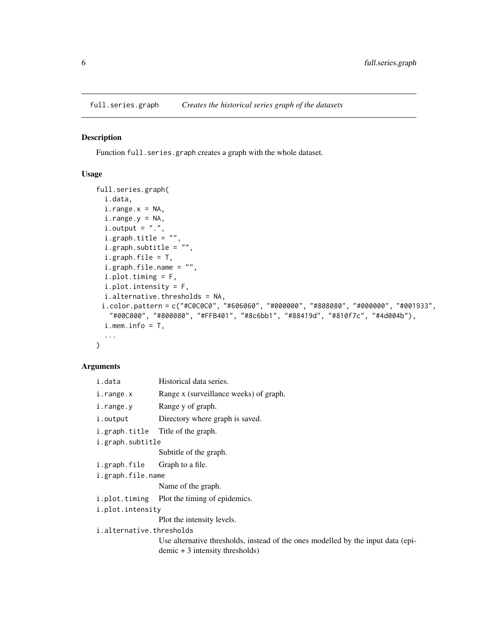<span id="page-5-0"></span>full.series.graph *Creates the historical series graph of the datasets*

### Description

Function full.series.graph creates a graph with the whole dataset.

### Usage

```
full.series.graph(
  i.data,
  i.\text{range.x} = \text{NA},i.range.y = NA,
  i. output = ".".i.graph.title = "",
  i.graph.subtitle = "",
  i.graph.file = T,i.graph.file.name = "",
  i.plot.timing = F,
  i.plot.intensity = F,
  i.alternative.thresholds = NA,
 i.color.pattern = c("#C0C0C0", "#606060", "#000000", "#808080", "#000000", "#001933",
   "#00C000", "#800080", "#FFB401", "#8c6bb1", "#88419d", "#810f7c", "#4d004b"),
  i. mem. info = T,
  ...
\mathcal{L}
```
### Arguments

| i.data                   | Historical data series.                                                                                               |  |  |  |  |  |
|--------------------------|-----------------------------------------------------------------------------------------------------------------------|--|--|--|--|--|
| i.range.x                | Range x (surveillance weeks) of graph.                                                                                |  |  |  |  |  |
| i.range.y                | Range y of graph.                                                                                                     |  |  |  |  |  |
| i.output                 | Directory where graph is saved.                                                                                       |  |  |  |  |  |
|                          | i.graph.title Title of the graph.                                                                                     |  |  |  |  |  |
| i.graph.subtitle         |                                                                                                                       |  |  |  |  |  |
|                          | Subtitle of the graph.                                                                                                |  |  |  |  |  |
| i.graph.file             | Graph to a file.                                                                                                      |  |  |  |  |  |
| i.graph.file.name        |                                                                                                                       |  |  |  |  |  |
|                          | Name of the graph.                                                                                                    |  |  |  |  |  |
|                          | i.plot.timing Plot the timing of epidemics.                                                                           |  |  |  |  |  |
| i.plot.intensity         |                                                                                                                       |  |  |  |  |  |
|                          | Plot the intensity levels.                                                                                            |  |  |  |  |  |
| i.alternative.thresholds |                                                                                                                       |  |  |  |  |  |
|                          | Use alternative thresholds, instead of the ones modelled by the input data (epi-<br>$demic + 3$ intensity thresholds) |  |  |  |  |  |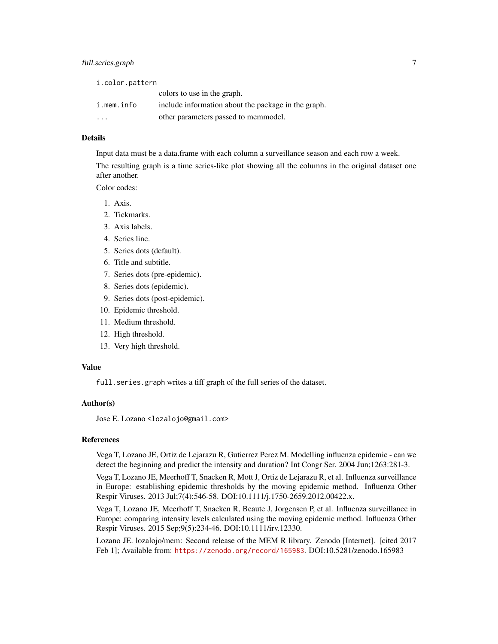| i.color.pattern |                                                     |  |  |  |  |  |  |
|-----------------|-----------------------------------------------------|--|--|--|--|--|--|
|                 | colors to use in the graph.                         |  |  |  |  |  |  |
| i.mem.info      | include information about the package in the graph. |  |  |  |  |  |  |
| .               | other parameters passed to memmodel.                |  |  |  |  |  |  |

### Details

Input data must be a data.frame with each column a surveillance season and each row a week.

The resulting graph is a time series-like plot showing all the columns in the original dataset one after another.

Color codes:

- 1. Axis.
- 2. Tickmarks.
- 3. Axis labels.
- 4. Series line.
- 5. Series dots (default).
- 6. Title and subtitle.
- 7. Series dots (pre-epidemic).
- 8. Series dots (epidemic).
- 9. Series dots (post-epidemic).
- 10. Epidemic threshold.
- 11. Medium threshold.
- 12. High threshold.
- 13. Very high threshold.

### Value

full.series.graph writes a tiff graph of the full series of the dataset.

### Author(s)

Jose E. Lozano <lozalojo@gmail.com>

#### References

Vega T, Lozano JE, Ortiz de Lejarazu R, Gutierrez Perez M. Modelling influenza epidemic - can we detect the beginning and predict the intensity and duration? Int Congr Ser. 2004 Jun;1263:281-3.

Vega T, Lozano JE, Meerhoff T, Snacken R, Mott J, Ortiz de Lejarazu R, et al. Influenza surveillance in Europe: establishing epidemic thresholds by the moving epidemic method. Influenza Other Respir Viruses. 2013 Jul;7(4):546-58. DOI:10.1111/j.1750-2659.2012.00422.x.

Vega T, Lozano JE, Meerhoff T, Snacken R, Beaute J, Jorgensen P, et al. Influenza surveillance in Europe: comparing intensity levels calculated using the moving epidemic method. Influenza Other Respir Viruses. 2015 Sep;9(5):234-46. DOI:10.1111/irv.12330.

Lozano JE. lozalojo/mem: Second release of the MEM R library. Zenodo [Internet]. [cited 2017 Feb 1]; Available from: <https://zenodo.org/record/165983>. DOI:10.5281/zenodo.165983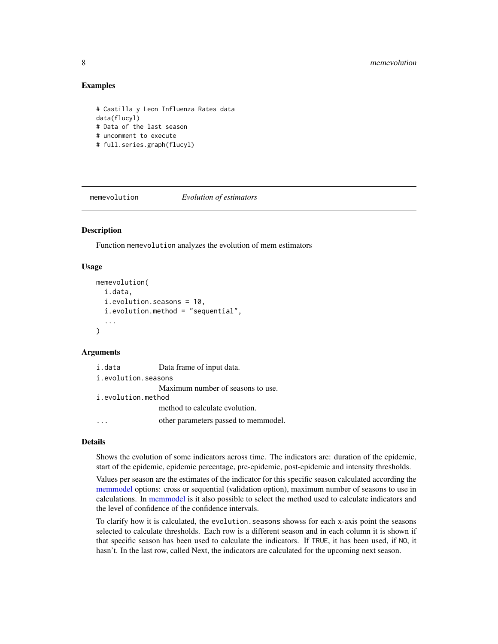### Examples

```
# Castilla y Leon Influenza Rates data
data(flucyl)
# Data of the last season
# uncomment to execute
# full.series.graph(flucyl)
```
memevolution *Evolution of estimators*

### Description

Function memevolution analyzes the evolution of mem estimators

### Usage

```
memevolution(
  i.data,
  i.evolution.seasons = 10,
  i.evolution.method = "sequential",
  ...
\mathcal{L}
```
### Arguments

| i.data              | Data frame of input data.            |
|---------------------|--------------------------------------|
| i.evolution.seasons |                                      |
|                     | Maximum number of seasons to use.    |
| i.evolution.method  |                                      |
|                     | method to calculate evolution.       |
|                     | other parameters passed to memmodel. |

#### Details

Shows the evolution of some indicators across time. The indicators are: duration of the epidemic, start of the epidemic, epidemic percentage, pre-epidemic, post-epidemic and intensity thresholds.

Values per season are the estimates of the indicator for this specific season calculated according the [memmodel](#page-14-1) options: cross or sequential (validation option), maximum number of seasons to use in calculations. In [memmodel](#page-14-1) is it also possible to select the method used to calculate indicators and the level of confidence of the confidence intervals.

To clarify how it is calculated, the evolution.seasons showss for each x-axis point the seasons selected to calculate thresholds. Each row is a different season and in each column it is shown if that specific season has been used to calculate the indicators. If TRUE, it has been used, if NO, it hasn't. In the last row, called Next, the indicators are calculated for the upcoming next season.

<span id="page-7-0"></span>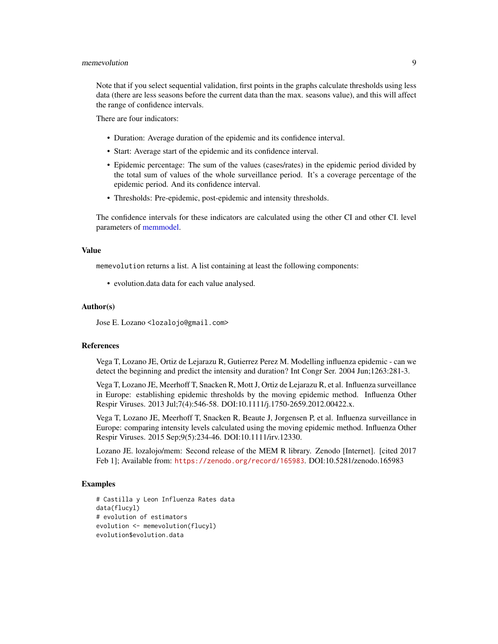### <span id="page-8-0"></span>memevolution 9

Note that if you select sequential validation, first points in the graphs calculate thresholds using less data (there are less seasons before the current data than the max. seasons value), and this will affect the range of confidence intervals.

There are four indicators:

- Duration: Average duration of the epidemic and its confidence interval.
- Start: Average start of the epidemic and its confidence interval.
- Epidemic percentage: The sum of the values (cases/rates) in the epidemic period divided by the total sum of values of the whole surveillance period. It's a coverage percentage of the epidemic period. And its confidence interval.
- Thresholds: Pre-epidemic, post-epidemic and intensity thresholds.

The confidence intervals for these indicators are calculated using the other CI and other CI. level parameters of [memmodel.](#page-14-1)

### Value

memevolution returns a list. A list containing at least the following components:

• evolution.data data for each value analysed.

#### Author(s)

Jose E. Lozano <lozalojo@gmail.com>

### References

Vega T, Lozano JE, Ortiz de Lejarazu R, Gutierrez Perez M. Modelling influenza epidemic - can we detect the beginning and predict the intensity and duration? Int Congr Ser. 2004 Jun;1263:281-3.

Vega T, Lozano JE, Meerhoff T, Snacken R, Mott J, Ortiz de Lejarazu R, et al. Influenza surveillance in Europe: establishing epidemic thresholds by the moving epidemic method. Influenza Other Respir Viruses. 2013 Jul;7(4):546-58. DOI:10.1111/j.1750-2659.2012.00422.x.

Vega T, Lozano JE, Meerhoff T, Snacken R, Beaute J, Jorgensen P, et al. Influenza surveillance in Europe: comparing intensity levels calculated using the moving epidemic method. Influenza Other Respir Viruses. 2015 Sep;9(5):234-46. DOI:10.1111/irv.12330.

Lozano JE. lozalojo/mem: Second release of the MEM R library. Zenodo [Internet]. [cited 2017 Feb 1]; Available from: <https://zenodo.org/record/165983>. DOI:10.5281/zenodo.165983

### Examples

```
# Castilla y Leon Influenza Rates data
data(flucyl)
# evolution of estimators
evolution <- memevolution(flucyl)
evolution$evolution.data
```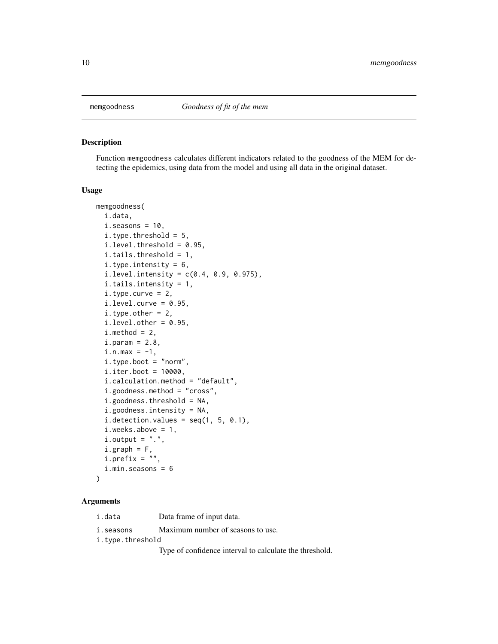<span id="page-9-0"></span>

### Description

Function memgoodness calculates different indicators related to the goodness of the MEM for detecting the epidemics, using data from the model and using all data in the original dataset.

### Usage

```
memgoodness(
  i.data,
  i.seasons = 10,i.type.threshold = 5,
  i.level. threshold = 0.95,i.tails.threshold = 1,
  i.type.intensity = 6,
  i. level.intensity = c(0.4, 0.9, 0.975),
  i.tails.intensity = 1,
  i.type.curve = 2,i.level.curve = 0.95,
  i.type.other = 2,i.level.other = 0.95,
  i.method = 2,
  i.param = 2.8,i.n.max = -1,i.type.boot = "norm",
  i.iter.boot = 10000,i.calculation.method = "default",
  i.goodness.method = "cross",
  i.goodness.threshold = NA,
  i.goodness.intensity = NA,
  i.detection.values = seq(1, 5, 0.1),i.weeks.above = 1,
  i. output = ".".i.graph = F,
  i.prefix = ""
  i.min.seasons = 6
)
```
### Arguments

i.data Data frame of input data.

i.seasons Maximum number of seasons to use.

i.type.threshold

Type of confidence interval to calculate the threshold.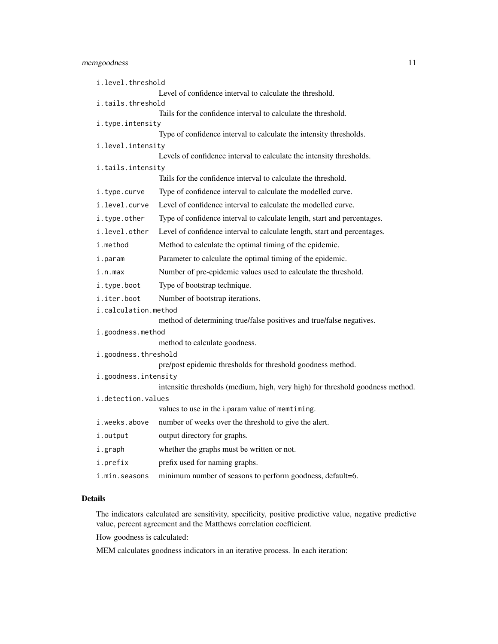### memgoodness 11

| i.level.threshold    |                                                                                |  |  |  |  |  |  |
|----------------------|--------------------------------------------------------------------------------|--|--|--|--|--|--|
|                      | Level of confidence interval to calculate the threshold.                       |  |  |  |  |  |  |
|                      | i.tails.threshold                                                              |  |  |  |  |  |  |
|                      | Tails for the confidence interval to calculate the threshold.                  |  |  |  |  |  |  |
| i.type.intensity     | Type of confidence interval to calculate the intensity thresholds.             |  |  |  |  |  |  |
| i.level.intensity    |                                                                                |  |  |  |  |  |  |
|                      | Levels of confidence interval to calculate the intensity thresholds.           |  |  |  |  |  |  |
| i.tails.intensity    |                                                                                |  |  |  |  |  |  |
|                      | Tails for the confidence interval to calculate the threshold.                  |  |  |  |  |  |  |
| i.type.curve         | Type of confidence interval to calculate the modelled curve.                   |  |  |  |  |  |  |
| i.level.curve        | Level of confidence interval to calculate the modelled curve.                  |  |  |  |  |  |  |
| i.type.other         | Type of confidence interval to calculate length, start and percentages.        |  |  |  |  |  |  |
| i.level.other        | Level of confidence interval to calculate length, start and percentages.       |  |  |  |  |  |  |
| i.method             | Method to calculate the optimal timing of the epidemic.                        |  |  |  |  |  |  |
| i.param              | Parameter to calculate the optimal timing of the epidemic.                     |  |  |  |  |  |  |
| i.n.max              | Number of pre-epidemic values used to calculate the threshold.                 |  |  |  |  |  |  |
| i.type.boot          | Type of bootstrap technique.                                                   |  |  |  |  |  |  |
| i.iter.boot          | Number of bootstrap iterations.                                                |  |  |  |  |  |  |
| i.calculation.method |                                                                                |  |  |  |  |  |  |
|                      | method of determining true/false positives and true/false negatives.           |  |  |  |  |  |  |
| i.goodness.method    |                                                                                |  |  |  |  |  |  |
|                      | method to calculate goodness.                                                  |  |  |  |  |  |  |
| i.goodness.threshold | pre/post epidemic thresholds for threshold goodness method.                    |  |  |  |  |  |  |
| i.goodness.intensity |                                                                                |  |  |  |  |  |  |
|                      | intensitie thresholds (medium, high, very high) for threshold goodness method. |  |  |  |  |  |  |
| i.detection.values   |                                                                                |  |  |  |  |  |  |
|                      | values to use in the i.param value of memtiming.                               |  |  |  |  |  |  |
| i.weeks.above        | number of weeks over the threshold to give the alert.                          |  |  |  |  |  |  |
| i.output             | output directory for graphs.                                                   |  |  |  |  |  |  |
| i.graph              | whether the graphs must be written or not.                                     |  |  |  |  |  |  |
| i.prefix             | prefix used for naming graphs.                                                 |  |  |  |  |  |  |
| i.min.seasons        | minimum number of seasons to perform goodness, default=6.                      |  |  |  |  |  |  |

### Details

The indicators calculated are sensitivity, specificity, positive predictive value, negative predictive value, percent agreement and the Matthews correlation coefficient.

How goodness is calculated:

MEM calculates goodness indicators in an iterative process. In each iteration: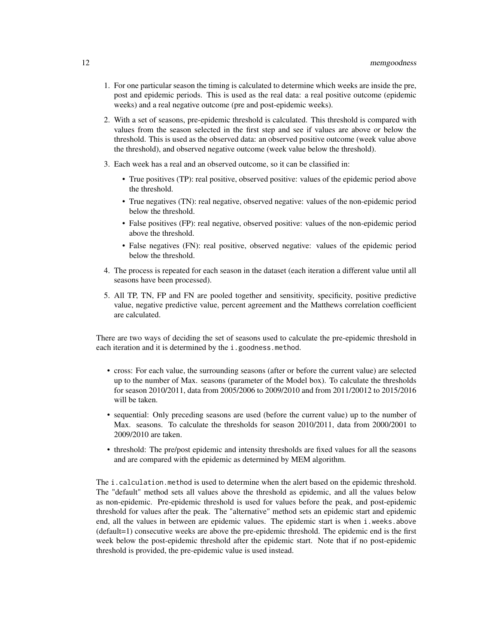- 1. For one particular season the timing is calculated to determine which weeks are inside the pre, post and epidemic periods. This is used as the real data: a real positive outcome (epidemic weeks) and a real negative outcome (pre and post-epidemic weeks).
- 2. With a set of seasons, pre-epidemic threshold is calculated. This threshold is compared with values from the season selected in the first step and see if values are above or below the threshold. This is used as the observed data: an observed positive outcome (week value above the threshold), and observed negative outcome (week value below the threshold).
- 3. Each week has a real and an observed outcome, so it can be classified in:
	- True positives (TP): real positive, observed positive: values of the epidemic period above the threshold.
	- True negatives (TN): real negative, observed negative: values of the non-epidemic period below the threshold.
	- False positives (FP): real negative, observed positive: values of the non-epidemic period above the threshold.
	- False negatives (FN): real positive, observed negative: values of the epidemic period below the threshold.
- 4. The process is repeated for each season in the dataset (each iteration a different value until all seasons have been processed).
- 5. All TP, TN, FP and FN are pooled together and sensitivity, specificity, positive predictive value, negative predictive value, percent agreement and the Matthews correlation coefficient are calculated.

There are two ways of deciding the set of seasons used to calculate the pre-epidemic threshold in each iteration and it is determined by the i.goodness.method.

- cross: For each value, the surrounding seasons (after or before the current value) are selected up to the number of Max. seasons (parameter of the Model box). To calculate the thresholds for season 2010/2011, data from 2005/2006 to 2009/2010 and from 2011/20012 to 2015/2016 will be taken.
- sequential: Only preceding seasons are used (before the current value) up to the number of Max. seasons. To calculate the thresholds for season 2010/2011, data from 2000/2001 to 2009/2010 are taken.
- threshold: The pre/post epidemic and intensity thresholds are fixed values for all the seasons and are compared with the epidemic as determined by MEM algorithm.

The i.calculation.method is used to determine when the alert based on the epidemic threshold. The "default" method sets all values above the threshold as epidemic, and all the values below as non-epidemic. Pre-epidemic threshold is used for values before the peak, and post-epidemic threshold for values after the peak. The "alternative" method sets an epidemic start and epidemic end, all the values in between are epidemic values. The epidemic start is when i.weeks.above (default=1) consecutive weeks are above the pre-epidemic threshold. The epidemic end is the first week below the post-epidemic threshold after the epidemic start. Note that if no post-epidemic threshold is provided, the pre-epidemic value is used instead.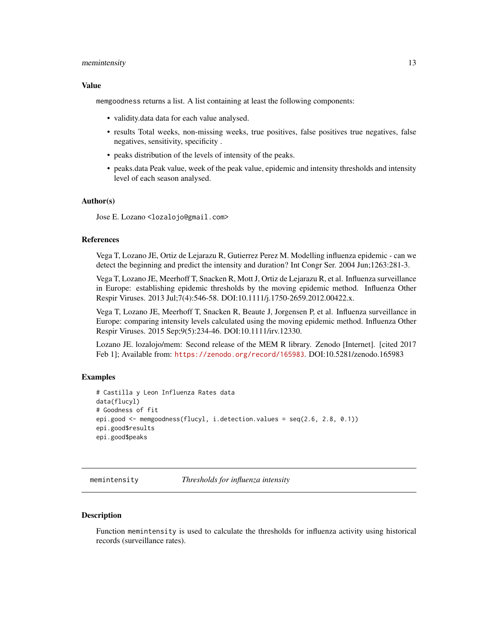### <span id="page-12-0"></span>memintensity and the set of the set of the set of the set of the set of the set of the set of the set of the set of the set of the set of the set of the set of the set of the set of the set of the set of the set of the set

#### Value

memgoodness returns a list. A list containing at least the following components:

- validity.data data for each value analysed.
- results Total weeks, non-missing weeks, true positives, false positives true negatives, false negatives, sensitivity, specificity .
- peaks distribution of the levels of intensity of the peaks.
- peaks.data Peak value, week of the peak value, epidemic and intensity thresholds and intensity level of each season analysed.

#### Author(s)

Jose E. Lozano <lozalojo@gmail.com>

### References

Vega T, Lozano JE, Ortiz de Lejarazu R, Gutierrez Perez M. Modelling influenza epidemic - can we detect the beginning and predict the intensity and duration? Int Congr Ser. 2004 Jun;1263:281-3.

Vega T, Lozano JE, Meerhoff T, Snacken R, Mott J, Ortiz de Lejarazu R, et al. Influenza surveillance in Europe: establishing epidemic thresholds by the moving epidemic method. Influenza Other Respir Viruses. 2013 Jul;7(4):546-58. DOI:10.1111/j.1750-2659.2012.00422.x.

Vega T, Lozano JE, Meerhoff T, Snacken R, Beaute J, Jorgensen P, et al. Influenza surveillance in Europe: comparing intensity levels calculated using the moving epidemic method. Influenza Other Respir Viruses. 2015 Sep;9(5):234-46. DOI:10.1111/irv.12330.

Lozano JE. lozalojo/mem: Second release of the MEM R library. Zenodo [Internet]. [cited 2017 Feb 1]; Available from: <https://zenodo.org/record/165983>. DOI:10.5281/zenodo.165983

#### Examples

```
# Castilla y Leon Influenza Rates data
data(flucyl)
# Goodness of fit
epi.good <- memgoodness(flucyl, i.detection.values = seq(2.6, 2.8, 0.1))
epi.good$results
epi.good$peaks
```
memintensity *Thresholds for influenza intensity*

### Description

Function memintensity is used to calculate the thresholds for influenza activity using historical records (surveillance rates).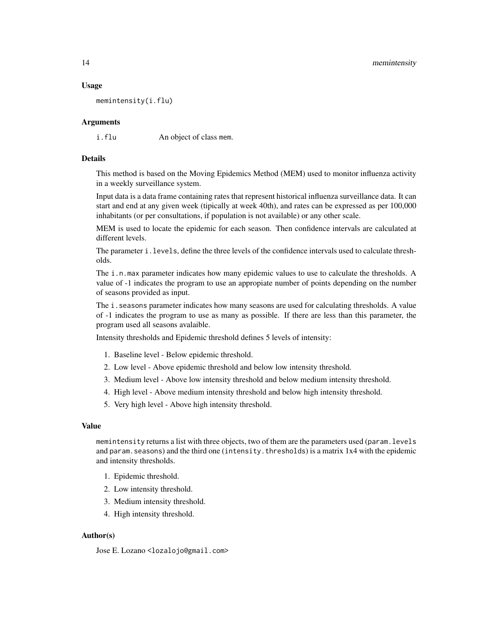### Usage

memintensity(i.flu)

### Arguments

i.flu An object of class mem.

### Details

This method is based on the Moving Epidemics Method (MEM) used to monitor influenza activity in a weekly surveillance system.

Input data is a data frame containing rates that represent historical influenza surveillance data. It can start and end at any given week (tipically at week 40th), and rates can be expressed as per 100,000 inhabitants (or per consultations, if population is not available) or any other scale.

MEM is used to locate the epidemic for each season. Then confidence intervals are calculated at different levels.

The parameter i.levels, define the three levels of the confidence intervals used to calculate thresholds.

The i.n.max parameter indicates how many epidemic values to use to calculate the thresholds. A value of -1 indicates the program to use an appropiate number of points depending on the number of seasons provided as input.

The *i*. seasons parameter indicates how many seasons are used for calculating thresholds. A value of -1 indicates the program to use as many as possible. If there are less than this parameter, the program used all seasons avalaible.

Intensity thresholds and Epidemic threshold defines 5 levels of intensity:

- 1. Baseline level Below epidemic threshold.
- 2. Low level Above epidemic threshold and below low intensity threshold.
- 3. Medium level Above low intensity threshold and below medium intensity threshold.
- 4. High level Above medium intensity threshold and below high intensity threshold.
- 5. Very high level Above high intensity threshold.

### Value

memintensity returns a list with three objects, two of them are the parameters used (param.levels and param. seasons) and the third one (intensity. thresholds) is a matrix 1x4 with the epidemic and intensity thresholds.

- 1. Epidemic threshold.
- 2. Low intensity threshold.
- 3. Medium intensity threshold.
- 4. High intensity threshold.

### Author(s)

Jose E. Lozano <lozalojo@gmail.com>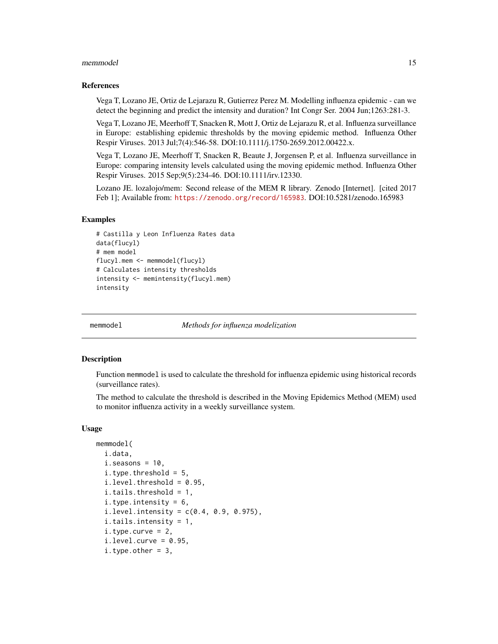### <span id="page-14-0"></span>memmodel and the contract of the contract of the contract of the contract of the contract of the contract of the contract of the contract of the contract of the contract of the contract of the contract of the contract of t

### References

Vega T, Lozano JE, Ortiz de Lejarazu R, Gutierrez Perez M. Modelling influenza epidemic - can we detect the beginning and predict the intensity and duration? Int Congr Ser. 2004 Jun;1263:281-3.

Vega T, Lozano JE, Meerhoff T, Snacken R, Mott J, Ortiz de Lejarazu R, et al. Influenza surveillance in Europe: establishing epidemic thresholds by the moving epidemic method. Influenza Other Respir Viruses. 2013 Jul;7(4):546-58. DOI:10.1111/j.1750-2659.2012.00422.x.

Vega T, Lozano JE, Meerhoff T, Snacken R, Beaute J, Jorgensen P, et al. Influenza surveillance in Europe: comparing intensity levels calculated using the moving epidemic method. Influenza Other Respir Viruses. 2015 Sep;9(5):234-46. DOI:10.1111/irv.12330.

Lozano JE. lozalojo/mem: Second release of the MEM R library. Zenodo [Internet]. [cited 2017 Feb 1]; Available from: <https://zenodo.org/record/165983>. DOI:10.5281/zenodo.165983

### Examples

```
# Castilla y Leon Influenza Rates data
data(flucyl)
# mem model
flucyl.mem <- memmodel(flucyl)
# Calculates intensity thresholds
intensity <- memintensity(flucyl.mem)
intensity
```
<span id="page-14-1"></span>

memmodel *Methods for influenza modelization*

#### **Description**

Function memmodel is used to calculate the threshold for influenza epidemic using historical records (surveillance rates).

The method to calculate the threshold is described in the Moving Epidemics Method (MEM) used to monitor influenza activity in a weekly surveillance system.

#### Usage

```
memmodel(
  i.data,
  i.seasons = 10,
  i.type.threshold = 5,
  i.level. threshold = 0.95,i.tails.threshold = 1,
  i.type.intensity = 6,
  i. level.intensity = c(0.4, 0.9, 0.975),
  i.tails.intensity = 1,
  i.type.curve = 2,i.level.curve = 0.95,
  i.type.other = 3,
```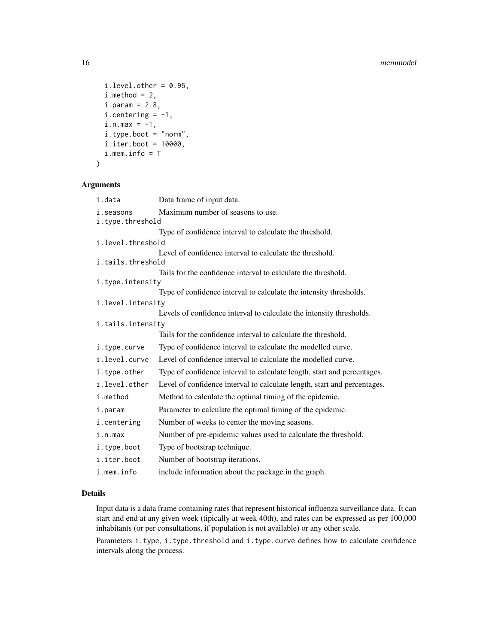```
i.level.other = 0.95,i.method = 2,
 i.param = 2.8,i.centering = -1,
 i.n.max = -1,
 i.type.boot = "norm",
 i.iter.boot = 10000,
 i.mem.info = T
)
```
### Arguments

| i.data                        | Data frame of input data.                                                |
|-------------------------------|--------------------------------------------------------------------------|
| i.seasons<br>i.type.threshold | Maximum number of seasons to use.                                        |
|                               | Type of confidence interval to calculate the threshold.                  |
| i.level.threshold             |                                                                          |
| i.tails.threshold             | Level of confidence interval to calculate the threshold.                 |
|                               | Tails for the confidence interval to calculate the threshold.            |
| i.type.intensity              |                                                                          |
|                               | Type of confidence interval to calculate the intensity thresholds.       |
| i.level.intensity             |                                                                          |
|                               | Levels of confidence interval to calculate the intensity thresholds.     |
| i.tails.intensity             |                                                                          |
|                               | Tails for the confidence interval to calculate the threshold.            |
| i.type.curve                  | Type of confidence interval to calculate the modelled curve.             |
| i.level.curve                 | Level of confidence interval to calculate the modelled curve.            |
| i.type.other                  | Type of confidence interval to calculate length, start and percentages.  |
| i.level.other                 | Level of confidence interval to calculate length, start and percentages. |
| i.method                      | Method to calculate the optimal timing of the epidemic.                  |
| i.param                       | Parameter to calculate the optimal timing of the epidemic.               |
| i.centering                   | Number of weeks to center the moving seasons.                            |
| i.n.max                       | Number of pre-epidemic values used to calculate the threshold.           |
| i.type.boot                   | Type of bootstrap technique.                                             |
| i.iter.boot                   | Number of bootstrap iterations.                                          |
| i.mem.info                    | include information about the package in the graph.                      |

### Details

Input data is a data frame containing rates that represent historical influenza surveillance data. It can start and end at any given week (tipically at week 40th), and rates can be expressed as per 100,000 inhabitants (or per consultations, if population is not available) or any other scale.

Parameters i.type, i.type.threshold and i.type.curve defines how to calculate confidence intervals along the process.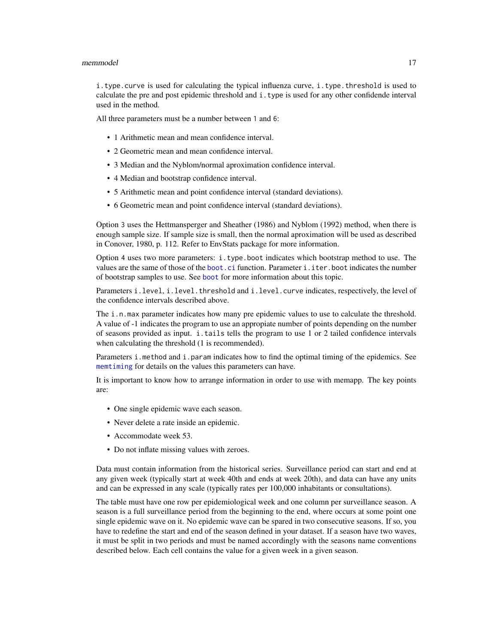### <span id="page-16-0"></span>memmodel and the contract of the contract of the contract of the contract of the contract of the contract of the contract of the contract of the contract of the contract of the contract of the contract of the contract of t

i.type.curve is used for calculating the typical influenza curve, i.type.threshold is used to calculate the pre and post epidemic threshold and i.type is used for any other confidende interval used in the method.

All three parameters must be a number between 1 and 6:

- 1 Arithmetic mean and mean confidence interval.
- 2 Geometric mean and mean confidence interval.
- 3 Median and the Nyblom/normal aproximation confidence interval.
- 4 Median and bootstrap confidence interval.
- 5 Arithmetic mean and point confidence interval (standard deviations).
- 6 Geometric mean and point confidence interval (standard deviations).

Option 3 uses the Hettmansperger and Sheather (1986) and Nyblom (1992) method, when there is enough sample size. If sample size is small, then the normal aproximation will be used as described in Conover, 1980, p. 112. Refer to EnvStats package for more information.

Option 4 uses two more parameters: i.type.boot indicates which bootstrap method to use. The values are the same of those of the [boot.ci](#page-0-0) function. Parameter i.iter.boot indicates the number of bootstrap samples to use. See [boot](#page-0-0) for more information about this topic.

Parameters i.level, i.level.threshold and i.level.curve indicates, respectively, the level of the confidence intervals described above.

The *i.n.max* parameter indicates how many pre epidemic values to use to calculate the threshold. A value of -1 indicates the program to use an appropiate number of points depending on the number of seasons provided as input. i.tails tells the program to use 1 or 2 tailed confidence intervals when calculating the threshold (1 is recommended).

Parameters i.method and i.param indicates how to find the optimal timing of the epidemics. See [memtiming](#page-24-1) for details on the values this parameters can have.

It is important to know how to arrange information in order to use with memapp. The key points are:

- One single epidemic wave each season.
- Never delete a rate inside an epidemic.
- Accommodate week 53.
- Do not inflate missing values with zeroes.

Data must contain information from the historical series. Surveillance period can start and end at any given week (typically start at week 40th and ends at week 20th), and data can have any units and can be expressed in any scale (typically rates per 100,000 inhabitants or consultations).

The table must have one row per epidemiological week and one column per surveillance season. A season is a full surveillance period from the beginning to the end, where occurs at some point one single epidemic wave on it. No epidemic wave can be spared in two consecutive seasons. If so, you have to redefine the start and end of the season defined in your dataset. If a season have two waves, it must be split in two periods and must be named accordingly with the seasons name conventions described below. Each cell contains the value for a given week in a given season.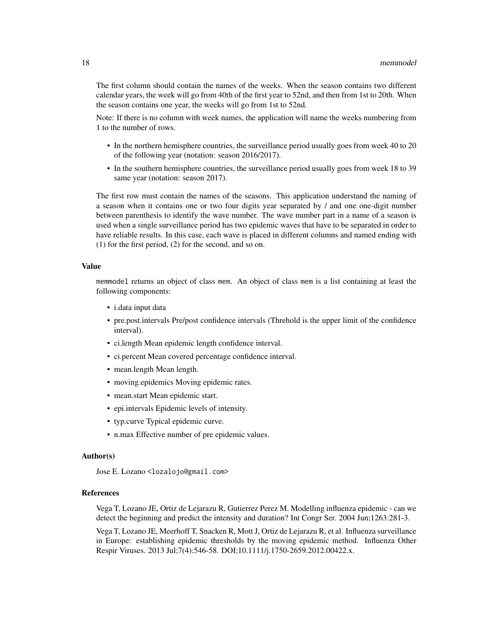The first column should contain the names of the weeks. When the season contains two different calendar years, the week will go from 40th of the first year to 52nd, and then from 1st to 20th. When the season contains one year, the weeks will go from 1st to 52nd.

Note: If there is no column with week names, the application will name the weeks numbering from 1 to the number of rows.

- In the northern hemisphere countries, the surveillance period usually goes from week 40 to 20 of the following year (notation: season 2016/2017).
- In the southern hemisphere countries, the surveillance period usually goes from week 18 to 39 same year (notation: season 2017).

The first row must contain the names of the seasons. This application understand the naming of a season when it contains one or two four digits year separated by / and one one-digit number between parenthesis to identify the wave number. The wave number part in a name of a season is used when a single surveillance period has two epidemic waves that have to be separated in order to have reliable results. In this case, each wave is placed in different columns and named ending with (1) for the first period, (2) for the second, and so on.

### Value

memmodel returns an object of class mem. An object of class mem is a list containing at least the following components:

- i.data input data
- pre.post.intervals Pre/post confidence intervals (Threhold is the upper limit of the confidence interval).
- ci.length Mean epidemic length confidence interval.
- ci.percent Mean covered percentage confidence interval.
- mean.length Mean length.
- moving.epidemics Moving epidemic rates.
- mean.start Mean epidemic start.
- epi.intervals Epidemic levels of intensity.
- typ.curve Typical epidemic curve.
- n.max Effective number of pre epidemic values.

### Author(s)

Jose E. Lozano <lozalojo@gmail.com>

#### References

Vega T, Lozano JE, Ortiz de Lejarazu R, Gutierrez Perez M. Modelling influenza epidemic - can we detect the beginning and predict the intensity and duration? Int Congr Ser. 2004 Jun;1263:281-3.

Vega T, Lozano JE, Meerhoff T, Snacken R, Mott J, Ortiz de Lejarazu R, et al. Influenza surveillance in Europe: establishing epidemic thresholds by the moving epidemic method. Influenza Other Respir Viruses. 2013 Jul;7(4):546-58. DOI:10.1111/j.1750-2659.2012.00422.x.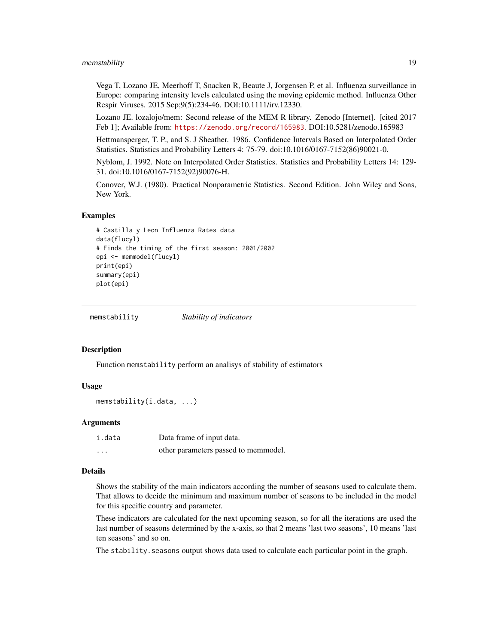### <span id="page-18-0"></span>memstability and the set of the set of the set of the set of the set of the set of the set of the set of the set of the set of the set of the set of the set of the set of the set of the set of the set of the set of the set

Vega T, Lozano JE, Meerhoff T, Snacken R, Beaute J, Jorgensen P, et al. Influenza surveillance in Europe: comparing intensity levels calculated using the moving epidemic method. Influenza Other Respir Viruses. 2015 Sep;9(5):234-46. DOI:10.1111/irv.12330.

Lozano JE. lozalojo/mem: Second release of the MEM R library. Zenodo [Internet]. [cited 2017 Feb 1]; Available from: <https://zenodo.org/record/165983>. DOI:10.5281/zenodo.165983

Hettmansperger, T. P., and S. J Sheather. 1986. Confidence Intervals Based on Interpolated Order Statistics. Statistics and Probability Letters 4: 75-79. doi:10.1016/0167-7152(86)90021-0.

Nyblom, J. 1992. Note on Interpolated Order Statistics. Statistics and Probability Letters 14: 129- 31. doi:10.1016/0167-7152(92)90076-H.

Conover, W.J. (1980). Practical Nonparametric Statistics. Second Edition. John Wiley and Sons, New York.

#### Examples

```
# Castilla y Leon Influenza Rates data
data(flucyl)
# Finds the timing of the first season: 2001/2002
epi <- memmodel(flucyl)
print(epi)
summary(epi)
plot(epi)
```
memstability *Stability of indicators*

#### Description

Function memstability perform an analisys of stability of estimators

### Usage

```
memstability(i.data, ...)
```
### Arguments

| i.data   | Data frame of input data.            |
|----------|--------------------------------------|
| $\cdots$ | other parameters passed to memmodel. |

### Details

Shows the stability of the main indicators according the number of seasons used to calculate them. That allows to decide the minimum and maximum number of seasons to be included in the model for this specific country and parameter.

These indicators are calculated for the next upcoming season, so for all the iterations are used the last number of seasons determined by the x-axis, so that 2 means 'last two seasons', 10 means 'last ten seasons' and so on.

The stability.seasons output shows data used to calculate each particular point in the graph.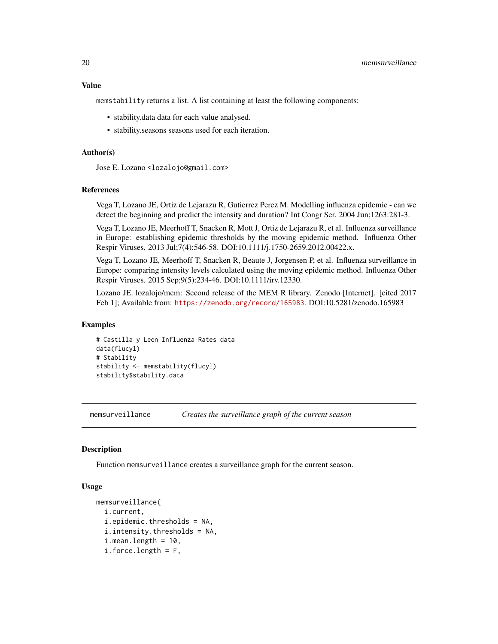### <span id="page-19-0"></span>Value

memstability returns a list. A list containing at least the following components:

- stability.data data for each value analysed.
- stability.seasons seasons used for each iteration.

### Author(s)

Jose E. Lozano <lozalojo@gmail.com>

#### **References**

Vega T, Lozano JE, Ortiz de Lejarazu R, Gutierrez Perez M. Modelling influenza epidemic - can we detect the beginning and predict the intensity and duration? Int Congr Ser. 2004 Jun;1263:281-3.

Vega T, Lozano JE, Meerhoff T, Snacken R, Mott J, Ortiz de Lejarazu R, et al. Influenza surveillance in Europe: establishing epidemic thresholds by the moving epidemic method. Influenza Other Respir Viruses. 2013 Jul;7(4):546-58. DOI:10.1111/j.1750-2659.2012.00422.x.

Vega T, Lozano JE, Meerhoff T, Snacken R, Beaute J, Jorgensen P, et al. Influenza surveillance in Europe: comparing intensity levels calculated using the moving epidemic method. Influenza Other Respir Viruses. 2015 Sep;9(5):234-46. DOI:10.1111/irv.12330.

Lozano JE. lozalojo/mem: Second release of the MEM R library. Zenodo [Internet]. [cited 2017 Feb 1]; Available from: <https://zenodo.org/record/165983>. DOI:10.5281/zenodo.165983

### Examples

```
# Castilla y Leon Influenza Rates data
data(flucyl)
# Stability
stability <- memstability(flucyl)
stability$stability.data
```
<span id="page-19-1"></span>memsurveillance *Creates the surveillance graph of the current season*

### Description

Function memsurveillance creates a surveillance graph for the current season.

### Usage

```
memsurveillance(
  i.current,
  i.epidemic.thresholds = NA,
  i.intensity.thresholds = NA,
  i. mean. length = 10,
  i.force.length = F,
```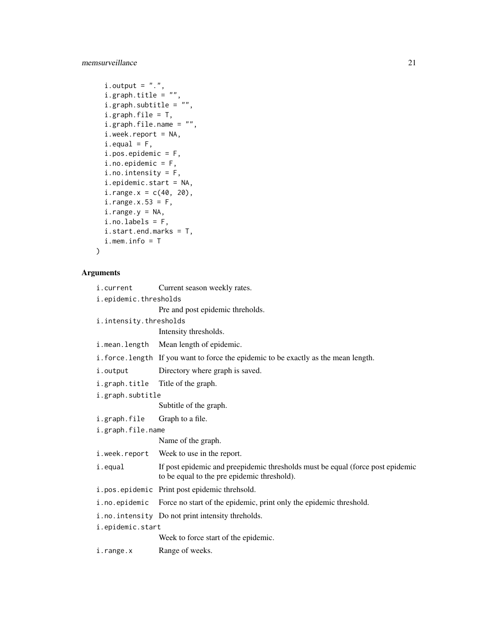memsurveillance 21

```
i. output = ".".i.graph.title = ",
  i.graph.subtitle = '''',
  i.graph.file = T,
  i.graph.file.name = "",
  i.week.report = NA,
  i. equal = F,
  i.pos.epidemic = F,
  i.no.\nepidemic = F,i.no.intensity = F,
  i.epidemic.start = NA,
  i.range.x = c(40, 20),
  i.\text{range.x.53} = F,i.\text{range.y} = \text{NA},i.no.labels = F,
  i.start.end.marks = T,
  i.mem.info = T
\mathcal{L}
```
### Arguments

| i.current        | Current season weekly rates.                                                                                                  |  |  |  |  |  |  |
|------------------|-------------------------------------------------------------------------------------------------------------------------------|--|--|--|--|--|--|
|                  | i.epidemic.thresholds                                                                                                         |  |  |  |  |  |  |
|                  | Pre and post epidemic threholds.                                                                                              |  |  |  |  |  |  |
|                  | i.intensity.thresholds                                                                                                        |  |  |  |  |  |  |
|                  | Intensity thresholds.                                                                                                         |  |  |  |  |  |  |
| i.mean.length    | Mean length of epidemic.                                                                                                      |  |  |  |  |  |  |
|                  | i. force. length If you want to force the epidemic to be exactly as the mean length.                                          |  |  |  |  |  |  |
| i.output         | Directory where graph is saved.                                                                                               |  |  |  |  |  |  |
| i.graph.title    | Title of the graph.                                                                                                           |  |  |  |  |  |  |
| i.graph.subtitle |                                                                                                                               |  |  |  |  |  |  |
|                  | Subtitle of the graph.                                                                                                        |  |  |  |  |  |  |
| i.graph.file     | Graph to a file.                                                                                                              |  |  |  |  |  |  |
|                  | i.graph.file.name                                                                                                             |  |  |  |  |  |  |
|                  | Name of the graph.                                                                                                            |  |  |  |  |  |  |
| i.week.report    | Week to use in the report.                                                                                                    |  |  |  |  |  |  |
| i.equal          | If post epidemic and preepidemic thresholds must be equal (force post epidemic<br>to be equal to the pre epidemic threshold). |  |  |  |  |  |  |
|                  | i.pos.epidemic Print post epidemic threhsold.                                                                                 |  |  |  |  |  |  |
| i.no.epidemic    | Force no start of the epidemic, print only the epidemic threshold.                                                            |  |  |  |  |  |  |
|                  | i.no.intensity Do not print intensity threholds.                                                                              |  |  |  |  |  |  |
| i.epidemic.start |                                                                                                                               |  |  |  |  |  |  |
|                  | Week to force start of the epidemic.                                                                                          |  |  |  |  |  |  |
| i.range.x        | Range of weeks.                                                                                                               |  |  |  |  |  |  |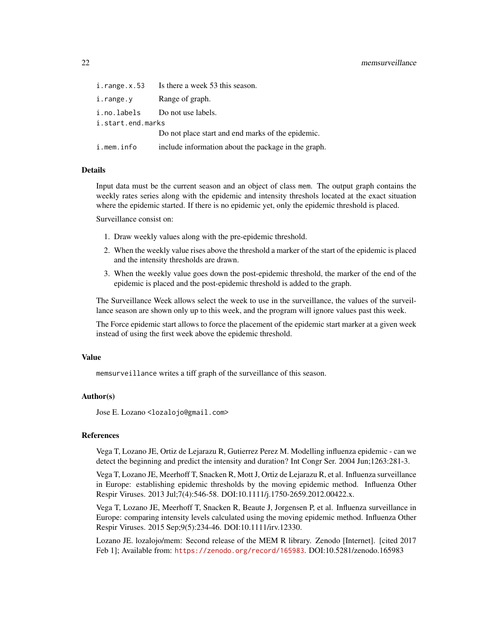### 22 memsurveillance

| $i.\nrightarrow.x.53$ | Is there a week 53 this season.                     |  |  |  |  |  |
|-----------------------|-----------------------------------------------------|--|--|--|--|--|
| i.range.y             | Range of graph.                                     |  |  |  |  |  |
|                       | i.no.labels Do not use labels.                      |  |  |  |  |  |
| i.start.end.marks     |                                                     |  |  |  |  |  |
|                       | Do not place start and end marks of the epidemic.   |  |  |  |  |  |
| i.mem.info            | include information about the package in the graph. |  |  |  |  |  |

### Details

Input data must be the current season and an object of class mem. The output graph contains the weekly rates series along with the epidemic and intensity threshols located at the exact situation where the epidemic started. If there is no epidemic yet, only the epidemic threshold is placed.

Surveillance consist on:

- 1. Draw weekly values along with the pre-epidemic threshold.
- 2. When the weekly value rises above the threshold a marker of the start of the epidemic is placed and the intensity thresholds are drawn.
- 3. When the weekly value goes down the post-epidemic threshold, the marker of the end of the epidemic is placed and the post-epidemic threshold is added to the graph.

The Surveillance Week allows select the week to use in the surveillance, the values of the surveillance season are shown only up to this week, and the program will ignore values past this week.

The Force epidemic start allows to force the placement of the epidemic start marker at a given week instead of using the first week above the epidemic threshold.

### Value

memsurveillance writes a tiff graph of the surveillance of this season.

### Author(s)

Jose E. Lozano <lozalojo@gmail.com>

### References

Vega T, Lozano JE, Ortiz de Lejarazu R, Gutierrez Perez M. Modelling influenza epidemic - can we detect the beginning and predict the intensity and duration? Int Congr Ser. 2004 Jun;1263:281-3.

Vega T, Lozano JE, Meerhoff T, Snacken R, Mott J, Ortiz de Lejarazu R, et al. Influenza surveillance in Europe: establishing epidemic thresholds by the moving epidemic method. Influenza Other Respir Viruses. 2013 Jul;7(4):546-58. DOI:10.1111/j.1750-2659.2012.00422.x.

Vega T, Lozano JE, Meerhoff T, Snacken R, Beaute J, Jorgensen P, et al. Influenza surveillance in Europe: comparing intensity levels calculated using the moving epidemic method. Influenza Other Respir Viruses. 2015 Sep;9(5):234-46. DOI:10.1111/irv.12330.

Lozano JE. lozalojo/mem: Second release of the MEM R library. Zenodo [Internet]. [cited 2017 Feb 1]; Available from: <https://zenodo.org/record/165983>. DOI:10.5281/zenodo.165983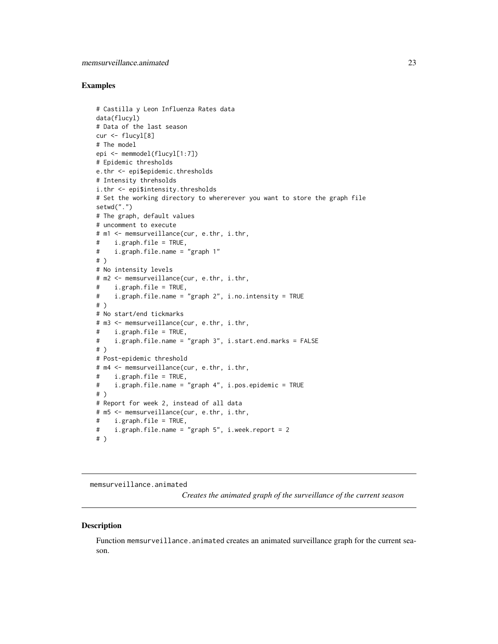### <span id="page-22-0"></span>Examples

```
# Castilla y Leon Influenza Rates data
data(flucyl)
# Data of the last season
cur <- flucyl[8]
# The model
epi <- memmodel(flucyl[1:7])
# Epidemic thresholds
e.thr <- epi$epidemic.thresholds
# Intensity threhsolds
i.thr <- epi$intensity.thresholds
# Set the working directory to whererever you want to store the graph file
setwd(".")
# The graph, default values
# uncomment to execute
# m1 <- memsurveillance(cur, e.thr, i.thr,
# i.graph.file = TRUE,
# i.graph.file.name = "graph 1"
# )
# No intensity levels
# m2 <- memsurveillance(cur, e.thr, i.thr,
# i.graph.file = TRUE,
# i.graph.file.name = "graph 2", i.no.intensity = TRUE
# )
# No start/end tickmarks
# m3 <- memsurveillance(cur, e.thr, i.thr,
# i.graph.file = TRUE,
# i.graph.file.name = "graph 3", i.start.end.marks = FALSE
# )
# Post-epidemic threshold
# m4 <- memsurveillance(cur, e.thr, i.thr,
# i.graph.file = TRUE,
# i.graph.file.name = "graph 4", i.pos.epidemic = TRUE
# )
# Report for week 2, instead of all data
# m5 <- memsurveillance(cur, e.thr, i.thr,
# i.graph.file = TRUE,
# i.graph.file.name = "graph 5", i.week.report = 2
# )
```
memsurveillance.animated

*Creates the animated graph of the surveillance of the current season*

#### **Description**

Function memsurveillance.animated creates an animated surveillance graph for the current season.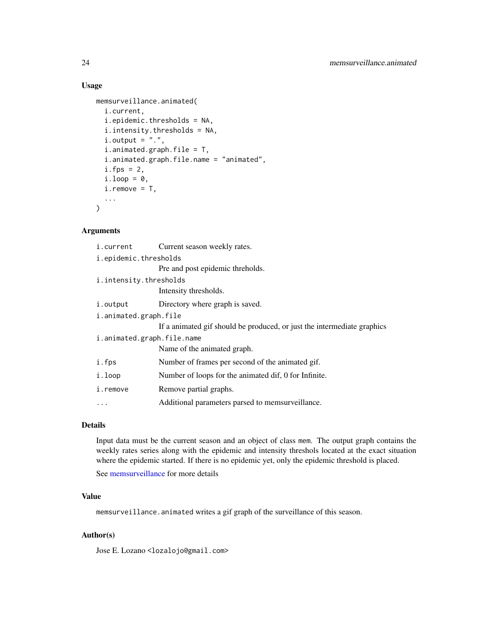### Usage

```
memsurveillance.animated(
  i.current,
  i.epidemic.thresholds = NA,
  i.intensity.thresholds = NA,
  i. output = ".".i.animated.graph.file = T,
  i.animated.graph.file.name = "animated",
  i.fps = 2,i.loop = <math>0</math>,i.remove = T,
  ...
\mathcal{L}
```
### Arguments

| i.current                  | Current season weekly rates.                                            |  |
|----------------------------|-------------------------------------------------------------------------|--|
| i.epidemic.thresholds      |                                                                         |  |
|                            | Pre and post epidemic threholds.                                        |  |
| i.intensity.thresholds     |                                                                         |  |
|                            | Intensity thresholds.                                                   |  |
| i.output                   | Directory where graph is saved.                                         |  |
| i.animated.graph.file      |                                                                         |  |
|                            | If a animated gif should be produced, or just the intermediate graphics |  |
| i.animated.graph.file.name |                                                                         |  |
|                            | Name of the animated graph.                                             |  |
| i.fps                      | Number of frames per second of the animated gif.                        |  |
| i.loop                     | Number of loops for the animated dif, 0 for Infinite.                   |  |
| i.remove                   | Remove partial graphs.                                                  |  |
| .                          | Additional parameters parsed to memsurveillance.                        |  |

### Details

Input data must be the current season and an object of class mem. The output graph contains the weekly rates series along with the epidemic and intensity threshols located at the exact situation where the epidemic started. If there is no epidemic yet, only the epidemic threshold is placed.

See [memsurveillance](#page-19-1) for more details

### Value

memsurveillance.animated writes a gif graph of the surveillance of this season.

### Author(s)

Jose E. Lozano <lozalojo@gmail.com>

<span id="page-23-0"></span>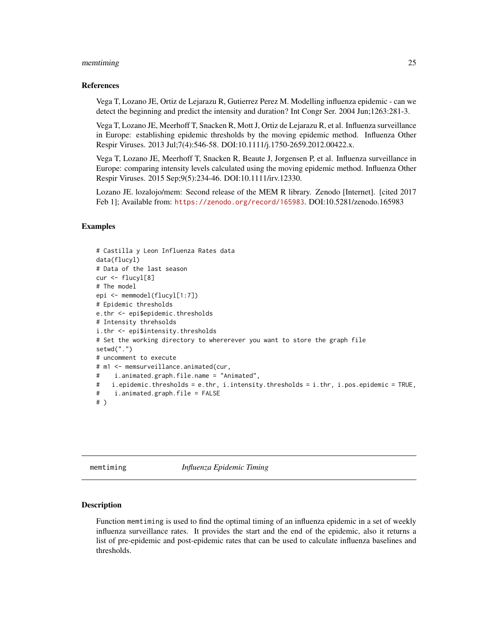### <span id="page-24-0"></span>memtiming 25

### References

Vega T, Lozano JE, Ortiz de Lejarazu R, Gutierrez Perez M. Modelling influenza epidemic - can we detect the beginning and predict the intensity and duration? Int Congr Ser. 2004 Jun;1263:281-3.

Vega T, Lozano JE, Meerhoff T, Snacken R, Mott J, Ortiz de Lejarazu R, et al. Influenza surveillance in Europe: establishing epidemic thresholds by the moving epidemic method. Influenza Other Respir Viruses. 2013 Jul;7(4):546-58. DOI:10.1111/j.1750-2659.2012.00422.x.

Vega T, Lozano JE, Meerhoff T, Snacken R, Beaute J, Jorgensen P, et al. Influenza surveillance in Europe: comparing intensity levels calculated using the moving epidemic method. Influenza Other Respir Viruses. 2015 Sep;9(5):234-46. DOI:10.1111/irv.12330.

Lozano JE. lozalojo/mem: Second release of the MEM R library. Zenodo [Internet]. [cited 2017 Feb 1]; Available from: <https://zenodo.org/record/165983>. DOI:10.5281/zenodo.165983

### Examples

```
# Castilla y Leon Influenza Rates data
data(flucyl)
# Data of the last season
cur <- flucyl[8]
# The model
epi <- memmodel(flucyl[1:7])
# Epidemic thresholds
e.thr <- epi$epidemic.thresholds
# Intensity threhsolds
i.thr <- epi$intensity.thresholds
# Set the working directory to whererever you want to store the graph file
setwd(".")
# uncomment to execute
# m1 <- memsurveillance.animated(cur,
# i.animated.graph.file.name = "Animated",
# i.epidemic.thresholds = e.thr, i.intensity.thresholds = i.thr, i.pos.epidemic = TRUE,
# i.animated.graph.file = FALSE
# )
```
<span id="page-24-1"></span>

memtiming *Influenza Epidemic Timing*

### Description

Function memtiming is used to find the optimal timing of an influenza epidemic in a set of weekly influenza surveillance rates. It provides the start and the end of the epidemic, also it returns a list of pre-epidemic and post-epidemic rates that can be used to calculate influenza baselines and thresholds.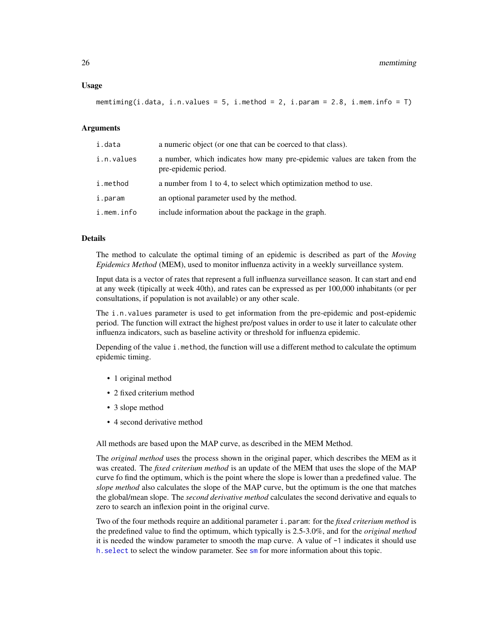### <span id="page-25-0"></span>Usage

```
memtiming(i.data, i.n.values = 5, i.method = 2, i.param = 2.8, i.mem.info = T)
```
### Arguments

| i.data     | a numeric object (or one that can be coerced to that class).                                      |
|------------|---------------------------------------------------------------------------------------------------|
| i.n.values | a number, which indicates how many pre-epidemic values are taken from the<br>pre-epidemic period. |
| i.method   | a number from 1 to 4, to select which optimization method to use.                                 |
| i.param    | an optional parameter used by the method.                                                         |
| i.mem.info | include information about the package in the graph.                                               |

### Details

The method to calculate the optimal timing of an epidemic is described as part of the *Moving Epidemics Method* (MEM), used to monitor influenza activity in a weekly surveillance system.

Input data is a vector of rates that represent a full influenza surveillance season. It can start and end at any week (tipically at week 40th), and rates can be expressed as per 100,000 inhabitants (or per consultations, if population is not available) or any other scale.

The i.n.values parameter is used to get information from the pre-epidemic and post-epidemic period. The function will extract the highest pre/post values in order to use it later to calculate other influenza indicators, such as baseline activity or threshold for influenza epidemic.

Depending of the value i.method, the function will use a different method to calculate the optimum epidemic timing.

- 1 original method
- 2 fixed criterium method
- 3 slope method
- 4 second derivative method

All methods are based upon the MAP curve, as described in the MEM Method.

The *original method* uses the process shown in the original paper, which describes the MEM as it was created. The *fixed criterium method* is an update of the MEM that uses the slope of the MAP curve fo find the optimum, which is the point where the slope is lower than a predefined value. The *slope method* also calculates the slope of the MAP curve, but the optimum is the one that matches the global/mean slope. The *second derivative method* calculates the second derivative and equals to zero to search an inflexion point in the original curve.

Two of the four methods require an additional parameter i.param: for the *fixed criterium method* is the predefined value to find the optimum, which typically is 2.5-3.0%, and for the *original method* it is needed the window parameter to smooth the map curve. A value of -1 indicates it should use [h.select](#page-0-0) to select the window parameter. See [sm](#page-0-0) for more information about this topic.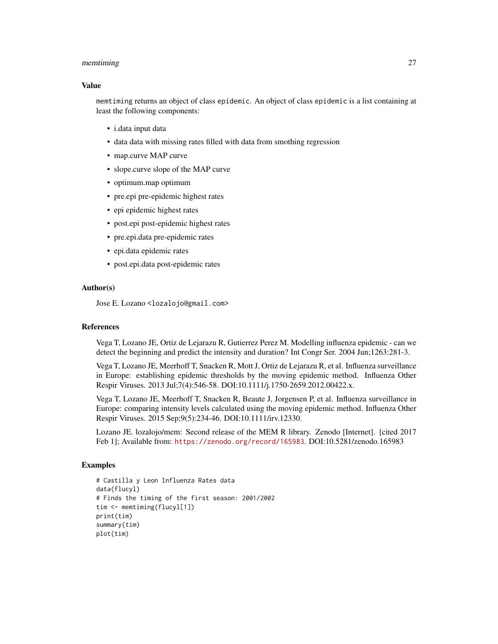### memtiming 27

#### Value

memtiming returns an object of class epidemic. An object of class epidemic is a list containing at least the following components:

- i.data input data
- data data with missing rates filled with data from smothing regression
- map.curve MAP curve
- slope.curve slope of the MAP curve
- optimum.map optimum
- pre.epi pre-epidemic highest rates
- epi epidemic highest rates
- post.epi post-epidemic highest rates
- pre.epi.data pre-epidemic rates
- epi.data epidemic rates
- post.epi.data post-epidemic rates

### Author(s)

Jose E. Lozano <lozalojo@gmail.com>

### References

Vega T, Lozano JE, Ortiz de Lejarazu R, Gutierrez Perez M. Modelling influenza epidemic - can we detect the beginning and predict the intensity and duration? Int Congr Ser. 2004 Jun;1263:281-3.

Vega T, Lozano JE, Meerhoff T, Snacken R, Mott J, Ortiz de Lejarazu R, et al. Influenza surveillance in Europe: establishing epidemic thresholds by the moving epidemic method. Influenza Other Respir Viruses. 2013 Jul;7(4):546-58. DOI:10.1111/j.1750-2659.2012.00422.x.

Vega T, Lozano JE, Meerhoff T, Snacken R, Beaute J, Jorgensen P, et al. Influenza surveillance in Europe: comparing intensity levels calculated using the moving epidemic method. Influenza Other Respir Viruses. 2015 Sep;9(5):234-46. DOI:10.1111/irv.12330.

Lozano JE. lozalojo/mem: Second release of the MEM R library. Zenodo [Internet]. [cited 2017 Feb 1]; Available from: <https://zenodo.org/record/165983>. DOI:10.5281/zenodo.165983

### Examples

```
# Castilla y Leon Influenza Rates data
data(flucyl)
# Finds the timing of the first season: 2001/2002
tim <- memtiming(flucyl[1])
print(tim)
summary(tim)
plot(tim)
```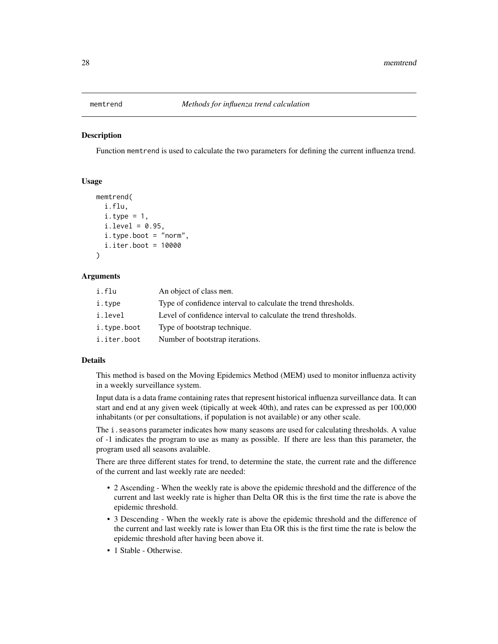<span id="page-27-0"></span>

### **Description**

Function memtrend is used to calculate the two parameters for defining the current influenza trend.

### Usage

```
memtrend(
  i.flu,
  i.type = 1,
  i.level = 0.95,i.type.boot = "norm",
  i.iter.boot = 10000
)
```
### Arguments

| An object of class mem.                                         |
|-----------------------------------------------------------------|
| Type of confidence interval to calculate the trend thresholds.  |
| Level of confidence interval to calculate the trend thresholds. |
| Type of bootstrap technique.                                    |
| Number of bootstrap iterations.                                 |
|                                                                 |

### Details

This method is based on the Moving Epidemics Method (MEM) used to monitor influenza activity in a weekly surveillance system.

Input data is a data frame containing rates that represent historical influenza surveillance data. It can start and end at any given week (tipically at week 40th), and rates can be expressed as per 100,000 inhabitants (or per consultations, if population is not available) or any other scale.

The i. seasons parameter indicates how many seasons are used for calculating thresholds. A value of -1 indicates the program to use as many as possible. If there are less than this parameter, the program used all seasons avalaible.

There are three different states for trend, to determine the state, the current rate and the difference of the current and last weekly rate are needed:

- 2 Ascending When the weekly rate is above the epidemic threshold and the difference of the current and last weekly rate is higher than Delta OR this is the first time the rate is above the epidemic threshold.
- 3 Descending When the weekly rate is above the epidemic threshold and the difference of the current and last weekly rate is lower than Eta OR this is the first time the rate is below the epidemic threshold after having been above it.
- 1 Stable Otherwise.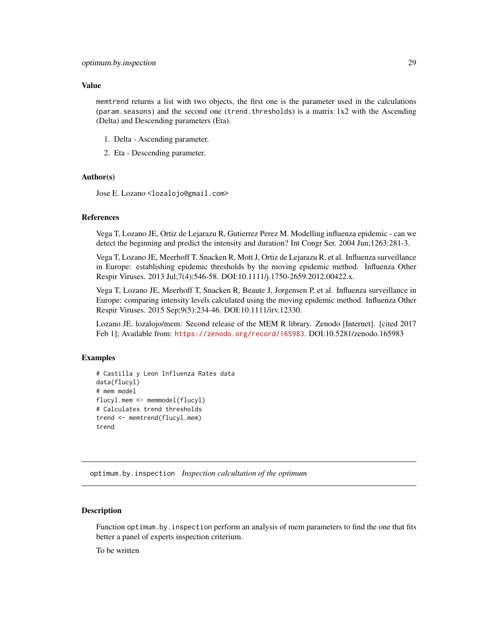### <span id="page-28-0"></span>Value

memtrend returns a list with two objects, the first one is the parameter used in the calculations (param.seasons) and the second one (trend.thresholds) is a matrix 1x2 with the Ascending (Delta) and Descending parameters (Eta).

- 1. Delta Ascending parameter.
- 2. Eta Descending parameter.

### Author(s)

Jose E. Lozano <lozalojo@gmail.com>

### References

Vega T, Lozano JE, Ortiz de Lejarazu R, Gutierrez Perez M. Modelling influenza epidemic - can we detect the beginning and predict the intensity and duration? Int Congr Ser. 2004 Jun;1263:281-3.

Vega T, Lozano JE, Meerhoff T, Snacken R, Mott J, Ortiz de Lejarazu R, et al. Influenza surveillance in Europe: establishing epidemic thresholds by the moving epidemic method. Influenza Other Respir Viruses. 2013 Jul;7(4):546-58. DOI:10.1111/j.1750-2659.2012.00422.x.

Vega T, Lozano JE, Meerhoff T, Snacken R, Beaute J, Jorgensen P, et al. Influenza surveillance in Europe: comparing intensity levels calculated using the moving epidemic method. Influenza Other Respir Viruses. 2015 Sep;9(5):234-46. DOI:10.1111/irv.12330.

Lozano JE. lozalojo/mem: Second release of the MEM R library. Zenodo [Internet]. [cited 2017 Feb 1]; Available from: <https://zenodo.org/record/165983>. DOI:10.5281/zenodo.165983

### Examples

```
# Castilla y Leon Influenza Rates data
data(flucyl)
# mem model
flucyl.mem <- memmodel(flucyl)
# Calculates trend thresholds
trend <- memtrend(flucyl.mem)
trend
```
optimum.by.inspection *Inspection calcultation of the optimum*

### **Description**

Function optimum.by. inspection perform an analysis of mem parameters to find the one that fits better a panel of experts inspection criterium.

To be written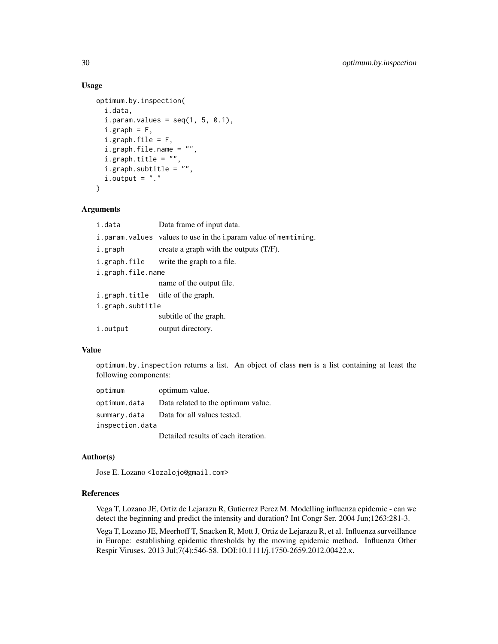### Usage

```
optimum.by.inspection(
  i.data,
  i.param.values = seq(1, 5, 0.1),
  i.graph = F,
  i.graph.file = F,i.graph.file.name = "",
  i.graph.title = "",
  i.graph.subtitle = "",
  i. output = ". ")
```
### Arguments

| i.data                            | Data frame of input data.                                       |
|-----------------------------------|-----------------------------------------------------------------|
|                                   | i.param.values values to use in the i.param value of memtiming. |
| i.graph                           | create a graph with the outputs $(T/F)$ .                       |
|                                   | i.graph.file write the graph to a file.                         |
| i.graph.file.name                 |                                                                 |
|                                   | name of the output file.                                        |
| i.graph.title title of the graph. |                                                                 |
| i.graph.subtitle                  |                                                                 |
|                                   | subtitle of the graph.                                          |
| i.output                          | output directory.                                               |

### Value

optimum.by.inspection returns a list. An object of class mem is a list containing at least the following components:

| optimum         | optimum value.                      |
|-----------------|-------------------------------------|
| optimum.data    | Data related to the optimum value.  |
| summary.data    | Data for all values tested.         |
| inspection.data |                                     |
|                 | Detailed results of each iteration. |

### Author(s)

Jose E. Lozano <lozalojo@gmail.com>

### References

Vega T, Lozano JE, Ortiz de Lejarazu R, Gutierrez Perez M. Modelling influenza epidemic - can we detect the beginning and predict the intensity and duration? Int Congr Ser. 2004 Jun;1263:281-3.

Vega T, Lozano JE, Meerhoff T, Snacken R, Mott J, Ortiz de Lejarazu R, et al. Influenza surveillance in Europe: establishing epidemic thresholds by the moving epidemic method. Influenza Other Respir Viruses. 2013 Jul;7(4):546-58. DOI:10.1111/j.1750-2659.2012.00422.x.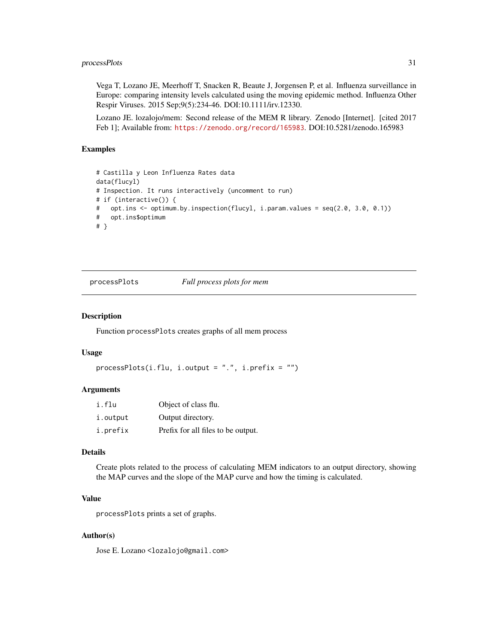### <span id="page-30-0"></span>processPlots 31

Vega T, Lozano JE, Meerhoff T, Snacken R, Beaute J, Jorgensen P, et al. Influenza surveillance in Europe: comparing intensity levels calculated using the moving epidemic method. Influenza Other Respir Viruses. 2015 Sep;9(5):234-46. DOI:10.1111/irv.12330.

Lozano JE. lozalojo/mem: Second release of the MEM R library. Zenodo [Internet]. [cited 2017 Feb 1]; Available from: <https://zenodo.org/record/165983>. DOI:10.5281/zenodo.165983

### Examples

```
# Castilla y Leon Influenza Rates data
data(flucyl)
# Inspection. It runs interactively (uncomment to run)
# if (interactive()) {
# opt.ins <- optimum.by.inspection(flucyl, i.param.values = seq(2.0, 3.0, 0.1))
# opt.ins$optimum
# }
```
processPlots *Full process plots for mem*

### Description

Function processPlots creates graphs of all mem process

### Usage

```
processPlots(i.flu, i.output = "." , i.prefix = "")
```
### Arguments

| i.flu    | Object of class flu.               |
|----------|------------------------------------|
| i.output | Output directory.                  |
| i.prefix | Prefix for all files to be output. |

### Details

Create plots related to the process of calculating MEM indicators to an output directory, showing the MAP curves and the slope of the MAP curve and how the timing is calculated.

### Value

processPlots prints a set of graphs.

### Author(s)

Jose E. Lozano <lozalojo@gmail.com>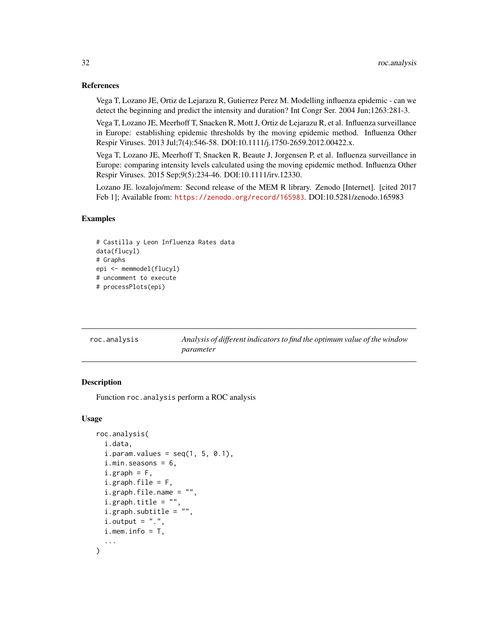### <span id="page-31-0"></span>References

Vega T, Lozano JE, Ortiz de Lejarazu R, Gutierrez Perez M. Modelling influenza epidemic - can we detect the beginning and predict the intensity and duration? Int Congr Ser. 2004 Jun;1263:281-3.

Vega T, Lozano JE, Meerhoff T, Snacken R, Mott J, Ortiz de Lejarazu R, et al. Influenza surveillance in Europe: establishing epidemic thresholds by the moving epidemic method. Influenza Other Respir Viruses. 2013 Jul;7(4):546-58. DOI:10.1111/j.1750-2659.2012.00422.x.

Vega T, Lozano JE, Meerhoff T, Snacken R, Beaute J, Jorgensen P, et al. Influenza surveillance in Europe: comparing intensity levels calculated using the moving epidemic method. Influenza Other Respir Viruses. 2015 Sep;9(5):234-46. DOI:10.1111/irv.12330.

Lozano JE. lozalojo/mem: Second release of the MEM R library. Zenodo [Internet]. [cited 2017 Feb 1]; Available from: <https://zenodo.org/record/165983>. DOI:10.5281/zenodo.165983

### Examples

```
# Castilla y Leon Influenza Rates data
data(flucyl)
# Graphs
epi <- memmodel(flucyl)
# uncomment to execute
# processPlots(epi)
```

| roc.analysis | Analysis of different indicators to find the optimum value of the window |
|--------------|--------------------------------------------------------------------------|
|              | parameter                                                                |

### Description

Function roc.analysis perform a ROC analysis

### Usage

```
roc.analysis(
  i.data,
  i. param.values = seq(1, 5, 0.1),
  i.min.seasons = 6,
  i.graph = F,
  i.graph.file = F,i.graph.file.name = "",
  i.graph.title = "",i.graph.subtitle = "",
  i. output = ".".i. mem. info = T,
  ...
)
```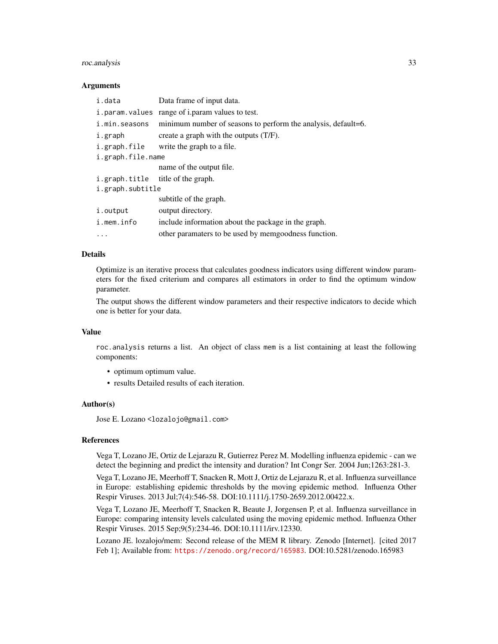### roc.analysis 33

### Arguments

| i.data            | Data frame of input data.                                     |
|-------------------|---------------------------------------------------------------|
| i.param.values    | range of i.param values to test.                              |
| i.min.seasons     | minimum number of seasons to perform the analysis, default=6. |
| i.graph           | create a graph with the outputs (T/F).                        |
| i.graph.file      | write the graph to a file.                                    |
| i.graph.file.name |                                                               |
|                   | name of the output file.                                      |
|                   | i.graph.title title of the graph.                             |
| i.graph.subtitle  |                                                               |
|                   | subtitle of the graph.                                        |
| i.output          | output directory.                                             |
| i.mem.info        | include information about the package in the graph.           |
| $\cdots$          | other paramaters to be used by memgoodness function.          |

### Details

Optimize is an iterative process that calculates goodness indicators using different window parameters for the fixed criterium and compares all estimators in order to find the optimum window parameter.

The output shows the different window parameters and their respective indicators to decide which one is better for your data.

### Value

roc.analysis returns a list. An object of class mem is a list containing at least the following components:

- optimum optimum value.
- results Detailed results of each iteration.

### Author(s)

Jose E. Lozano <lozalojo@gmail.com>

#### References

Vega T, Lozano JE, Ortiz de Lejarazu R, Gutierrez Perez M. Modelling influenza epidemic - can we detect the beginning and predict the intensity and duration? Int Congr Ser. 2004 Jun;1263:281-3.

Vega T, Lozano JE, Meerhoff T, Snacken R, Mott J, Ortiz de Lejarazu R, et al. Influenza surveillance in Europe: establishing epidemic thresholds by the moving epidemic method. Influenza Other Respir Viruses. 2013 Jul;7(4):546-58. DOI:10.1111/j.1750-2659.2012.00422.x.

Vega T, Lozano JE, Meerhoff T, Snacken R, Beaute J, Jorgensen P, et al. Influenza surveillance in Europe: comparing intensity levels calculated using the moving epidemic method. Influenza Other Respir Viruses. 2015 Sep;9(5):234-46. DOI:10.1111/irv.12330.

Lozano JE. lozalojo/mem: Second release of the MEM R library. Zenodo [Internet]. [cited 2017 Feb 1]; Available from: <https://zenodo.org/record/165983>. DOI:10.5281/zenodo.165983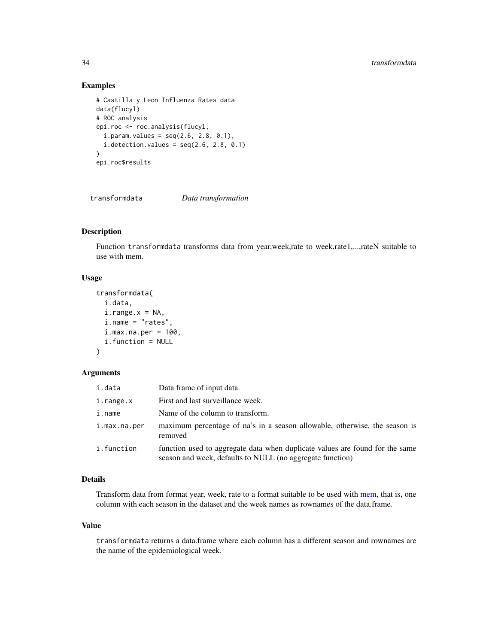### Examples

```
# Castilla y Leon Influenza Rates data
data(flucyl)
# ROC analysis
epi.roc <- roc.analysis(flucyl,
  i. param.values = seq(2.6, 2.8, 0.1),
  i.detection.values = seq(2.6, 2.8, 0.1))
epi.roc$results
```
transformdata *Data transformation*

### Description

Function transformdata transforms data from year,week,rate to week,rate1,...,rateN suitable to use with mem.

### Usage

```
transformdata(
  i.data,
  i.\text{range.x} = \text{NA},i.name = "rates",
  i.max.na.per = 100,
  i.function = NULL
\lambda
```
### Arguments

| i.data       | Data frame of input data.                                                                                                                 |
|--------------|-------------------------------------------------------------------------------------------------------------------------------------------|
| i.range.x    | First and last surveillance week.                                                                                                         |
| i.name       | Name of the column to transform.                                                                                                          |
| i.max.na.per | maximum percentage of na's in a season allowable, otherwise, the season is<br>removed                                                     |
| i.function   | function used to aggregate data when duplicate values are found for the same<br>season and week, defaults to NULL (no aggregate function) |

### Details

Transform data from format year, week, rate to a format suitable to be used with [mem,](#page-0-0) that is, one column with each season in the dataset and the week names as rownames of the data.frame.

### Value

transformdata returns a data.frame where each column has a different season and rownames are the name of the epidemiological week.

<span id="page-33-0"></span>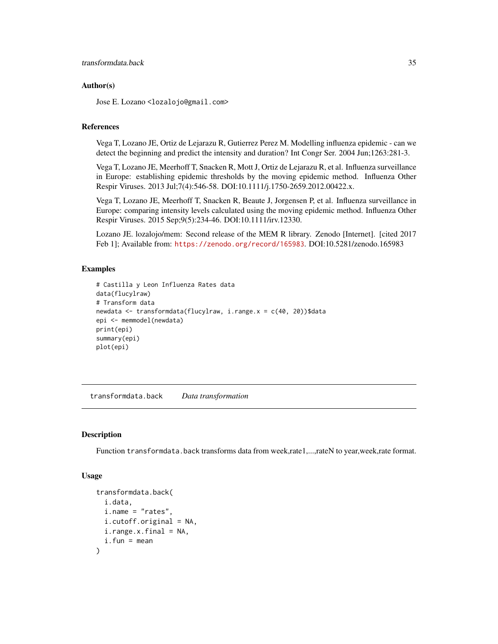### <span id="page-34-0"></span>Author(s)

Jose E. Lozano <lozalojo@gmail.com>

### References

Vega T, Lozano JE, Ortiz de Lejarazu R, Gutierrez Perez M. Modelling influenza epidemic - can we detect the beginning and predict the intensity and duration? Int Congr Ser. 2004 Jun;1263:281-3.

Vega T, Lozano JE, Meerhoff T, Snacken R, Mott J, Ortiz de Lejarazu R, et al. Influenza surveillance in Europe: establishing epidemic thresholds by the moving epidemic method. Influenza Other Respir Viruses. 2013 Jul;7(4):546-58. DOI:10.1111/j.1750-2659.2012.00422.x.

Vega T, Lozano JE, Meerhoff T, Snacken R, Beaute J, Jorgensen P, et al. Influenza surveillance in Europe: comparing intensity levels calculated using the moving epidemic method. Influenza Other Respir Viruses. 2015 Sep;9(5):234-46. DOI:10.1111/irv.12330.

Lozano JE. lozalojo/mem: Second release of the MEM R library. Zenodo [Internet]. [cited 2017 Feb 1]; Available from: <https://zenodo.org/record/165983>. DOI:10.5281/zenodo.165983

### Examples

```
# Castilla y Leon Influenza Rates data
data(flucylraw)
# Transform data
newdata <- transformdata(flucylraw, i.range.x = c(40, 20))$data
epi <- memmodel(newdata)
print(epi)
summary(epi)
plot(epi)
```
transformdata.back *Data transformation*

### **Description**

Function transformdata.back transforms data from week,rate1,...,rateN to year,week,rate format.

#### Usage

```
transformdata.back(
  i.data,
  i.name = "rates",
  i.cutoff.original = NA,
  i.randomrange.x.final = NA,
  i.fun = mean)
```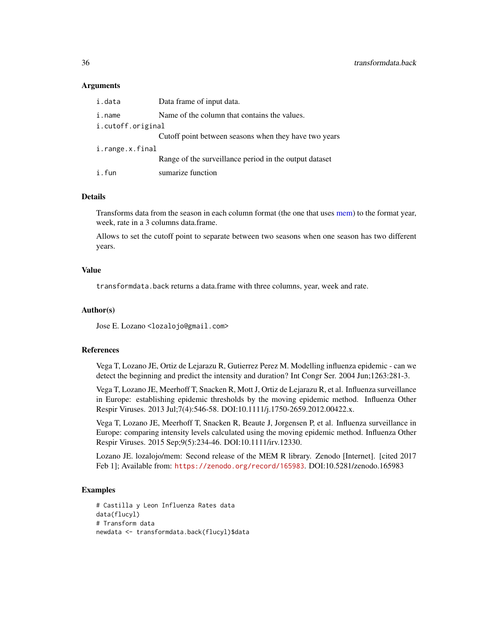### <span id="page-35-0"></span>Arguments

| i.data            | Data frame of input data.                              |
|-------------------|--------------------------------------------------------|
| i.name            | Name of the column that contains the values.           |
| i.cutoff.original |                                                        |
|                   | Cutoff point between seasons when they have two years  |
| i.range.x.final   |                                                        |
|                   | Range of the surveillance period in the output dataset |
| i.fun             | sumarize function                                      |

### Details

Transforms data from the season in each column format (the one that uses [mem\)](#page-0-0) to the format year, week, rate in a 3 columns data.frame.

Allows to set the cutoff point to separate between two seasons when one season has two different years.

### Value

transformdata.back returns a data.frame with three columns, year, week and rate.

### Author(s)

Jose E. Lozano <lozalojo@gmail.com>

### References

Vega T, Lozano JE, Ortiz de Lejarazu R, Gutierrez Perez M. Modelling influenza epidemic - can we detect the beginning and predict the intensity and duration? Int Congr Ser. 2004 Jun;1263:281-3.

Vega T, Lozano JE, Meerhoff T, Snacken R, Mott J, Ortiz de Lejarazu R, et al. Influenza surveillance in Europe: establishing epidemic thresholds by the moving epidemic method. Influenza Other Respir Viruses. 2013 Jul;7(4):546-58. DOI:10.1111/j.1750-2659.2012.00422.x.

Vega T, Lozano JE, Meerhoff T, Snacken R, Beaute J, Jorgensen P, et al. Influenza surveillance in Europe: comparing intensity levels calculated using the moving epidemic method. Influenza Other Respir Viruses. 2015 Sep;9(5):234-46. DOI:10.1111/irv.12330.

Lozano JE. lozalojo/mem: Second release of the MEM R library. Zenodo [Internet]. [cited 2017 Feb 1]; Available from: <https://zenodo.org/record/165983>. DOI:10.5281/zenodo.165983

### Examples

```
# Castilla y Leon Influenza Rates data
data(flucyl)
# Transform data
newdata <- transformdata.back(flucyl)$data
```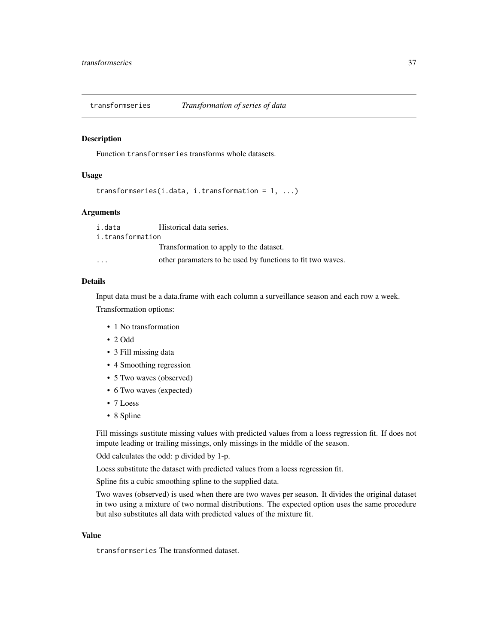<span id="page-36-0"></span>transformseries *Transformation of series of data*

### Description

Function transformseries transforms whole datasets.

### Usage

```
transformseries(i.data, i.transformation = 1, ...)
```
### Arguments

i.data Historical data series. i.transformation Transformation to apply to the dataset.

... other paramaters to be used by functions to fit two waves.

### Details

Input data must be a data.frame with each column a surveillance season and each row a week.

Transformation options:

- 1 No transformation
- 2 Odd
- 3 Fill missing data
- 4 Smoothing regression
- 5 Two waves (observed)
- 6 Two waves (expected)
- 7 Loess
- 8 Spline

Fill missings sustitute missing values with predicted values from a loess regression fit. If does not impute leading or trailing missings, only missings in the middle of the season.

Odd calculates the odd: p divided by 1-p.

Loess substitute the dataset with predicted values from a loess regression fit.

Spline fits a cubic smoothing spline to the supplied data.

Two waves (observed) is used when there are two waves per season. It divides the original dataset in two using a mixture of two normal distributions. The expected option uses the same procedure but also substitutes all data with predicted values of the mixture fit.

### Value

transformseries The transformed dataset.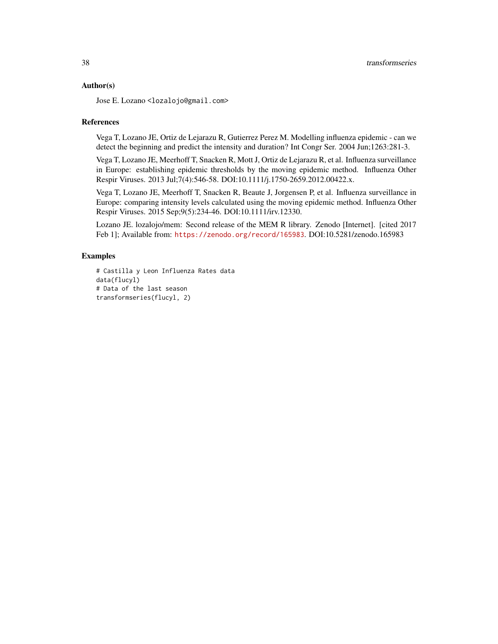### Author(s)

Jose E. Lozano <lozalojo@gmail.com>

### References

Vega T, Lozano JE, Ortiz de Lejarazu R, Gutierrez Perez M. Modelling influenza epidemic - can we detect the beginning and predict the intensity and duration? Int Congr Ser. 2004 Jun;1263:281-3.

Vega T, Lozano JE, Meerhoff T, Snacken R, Mott J, Ortiz de Lejarazu R, et al. Influenza surveillance in Europe: establishing epidemic thresholds by the moving epidemic method. Influenza Other Respir Viruses. 2013 Jul;7(4):546-58. DOI:10.1111/j.1750-2659.2012.00422.x.

Vega T, Lozano JE, Meerhoff T, Snacken R, Beaute J, Jorgensen P, et al. Influenza surveillance in Europe: comparing intensity levels calculated using the moving epidemic method. Influenza Other Respir Viruses. 2015 Sep;9(5):234-46. DOI:10.1111/irv.12330.

Lozano JE. lozalojo/mem: Second release of the MEM R library. Zenodo [Internet]. [cited 2017 Feb 1]; Available from: <https://zenodo.org/record/165983>. DOI:10.5281/zenodo.165983

### Examples

```
# Castilla y Leon Influenza Rates data
data(flucyl)
# Data of the last season
transformseries(flucyl, 2)
```